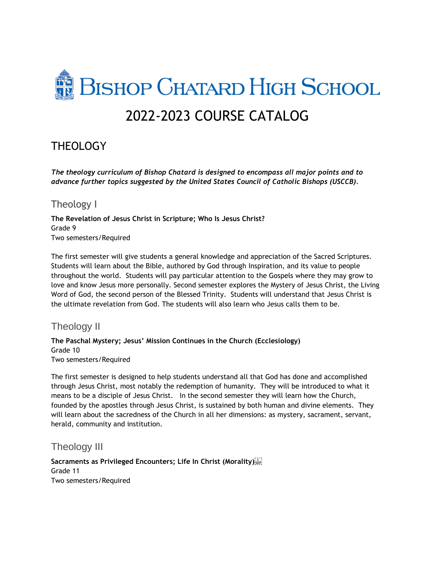# **BISHOP CHATARD HIGH SCHOOL** 2022-2023 COURSE CATALOG

# **THEOLOGY**

*The theology curriculum of Bishop Chatard is designed to encompass all major points and to advance further topics suggested by the United States Council of Catholic Bishops (USCCB).*

# Theology I

**The Revelation of Jesus Christ in Scripture; Who Is Jesus Christ?** Grade 9 Two semesters/Required

The first semester will give students a general knowledge and appreciation of the Sacred Scriptures. Students will learn about the Bible, authored by God through Inspiration, and its value to people throughout the world. Students will pay particular attention to the Gospels where they may grow to love and know Jesus more personally. Second semester explores the Mystery of Jesus Christ, the Living Word of God, the second person of the Blessed Trinity. Students will understand that Jesus Christ is the ultimate revelation from God. The students will also learn who Jesus calls them to be.

# Theology II

#### **The Paschal Mystery; Jesus' Mission Continues in the Church (Ecclesiology)** Grade 10 Two semesters/Required

The first semester is designed to help students understand all that God has done and accomplished through Jesus Christ, most notably the redemption of humanity. They will be introduced to what it means to be a disciple of Jesus Christ. In the second semester they will learn how the Church, founded by the apostles through Jesus Christ, is sustained by both human and divine elements. They will learn about the sacredness of the Church in all her dimensions: as mystery, sacrament, servant, herald, community and institution.

# Theology III

**Sacraments as Privileged Encounters; Life In Christ (Morality)**  Grade 11 Two semesters/Required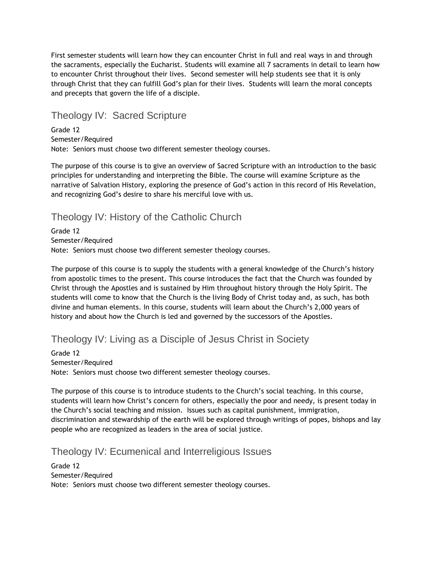First semester students will learn how they can encounter Christ in full and real ways in and through the sacraments, especially the Eucharist. Students will examine all 7 sacraments in detail to learn how to encounter Christ throughout their lives. Second semester will help students see that it is only through Christ that they can fulfill God's plan for their lives. Students will learn the moral concepts and precepts that govern the life of a disciple.

# Theology IV: Sacred Scripture

Grade 12 Semester/Required Note: Seniors must choose two different semester theology courses.

The purpose of this course is to give an overview of Sacred Scripture with an introduction to the basic principles for understanding and interpreting the Bible. The course will examine Scripture as the narrative of Salvation History, exploring the presence of God's action in this record of His Revelation, and recognizing God's desire to share his merciful love with us.

# Theology IV: History of the Catholic Church

Grade 12 Semester/Required Note: Seniors must choose two different semester theology courses.

The purpose of this course is to supply the students with a general knowledge of the Church's history from apostolic times to the present. This course introduces the fact that the Church was founded by Christ through the Apostles and is sustained by Him throughout history through the Holy Spirit. The students will come to know that the Church is the living Body of Christ today and, as such, has both divine and human elements. In this course, students will learn about the Church's 2,000 years of history and about how the Church is led and governed by the successors of the Apostles.

# Theology IV: Living as a Disciple of Jesus Christ in Society

Grade 12 Semester/Required Note: Seniors must choose two different semester theology courses.

The purpose of this course is to introduce students to the Church's social teaching. In this course, students will learn how Christ's concern for others, especially the poor and needy, is present today in the Church's social teaching and mission. Issues such as capital punishment, immigration, discrimination and stewardship of the earth will be explored through writings of popes, bishops and lay people who are recognized as leaders in the area of social justice.

# Theology IV: Ecumenical and Interreligious Issues

Grade 12 Semester/Required Note: Seniors must choose two different semester theology courses.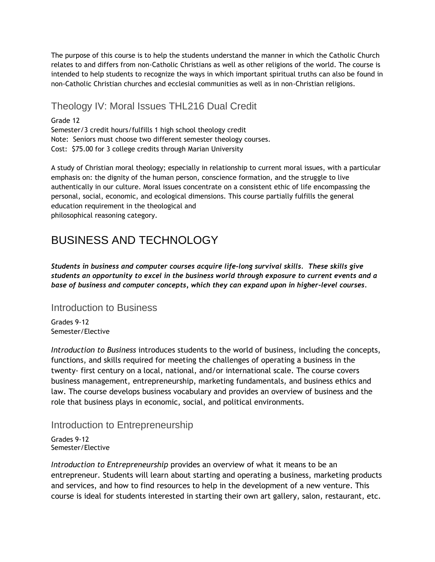The purpose of this course is to help the students understand the manner in which the Catholic Church relates to and differs from non-Catholic Christians as well as other religions of the world. The course is intended to help students to recognize the ways in which important spiritual truths can also be found in non-Catholic Christian churches and ecclesial communities as well as in non-Christian religions.

# Theology IV: Moral Issues THL216 Dual Credit

Grade 12 Semester/3 credit hours/fulfills 1 high school theology credit Note: Seniors must choose two different semester theology courses. Cost: \$75.00 for 3 college credits through Marian University

A study of Christian moral theology; especially in relationship to current moral issues, with a particular emphasis on: the dignity of the human person, conscience formation, and the struggle to live authentically in our culture. Moral issues concentrate on a consistent ethic of life encompassing the personal, social, economic, and ecological dimensions. This course partially fulfills the general education requirement in the theological and philosophical reasoning category.

# BUSINESS AND TECHNOLOGY

*Students in business and computer courses acquire life-long survival skills. These skills give students an opportunity to excel in the business world through exposure to current events and a base of business and computer concepts, which they can expand upon in higher-level courses.*

### Introduction to Business

Grades 9-12 Semester/Elective

*Introduction to Business* introduces students to the world of business, including the concepts, functions, and skills required for meeting the challenges of operating a business in the twenty- first century on a local, national, and/or international scale. The course covers business management, entrepreneurship, marketing fundamentals, and business ethics and law. The course develops business vocabulary and provides an overview of business and the role that business plays in economic, social, and political environments.

# Introduction to Entrepreneurship

Grades 9-12 Semester/Elective

*Introduction to Entrepreneurship* provides an overview of what it means to be an entrepreneur. Students will learn about starting and operating a business, marketing products and services, and how to find resources to help in the development of a new venture. This course is ideal for students interested in starting their own art gallery, salon, restaurant, etc.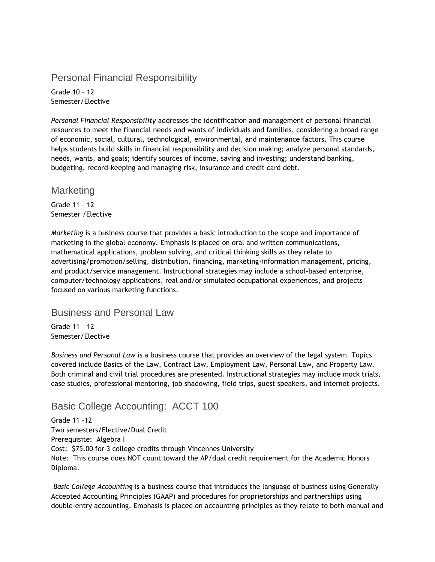# Personal Financial Responsibility

Grade 10 – 12 Semester/Elective

*Personal Financial Responsibility* addresses the identification and management of personal financial resources to meet the financial needs and wants of individuals and families, considering a broad range of economic, social, cultural, technological, environmental, and maintenance factors. This course helps students build skills in financial responsibility and decision making; analyze personal standards, needs, wants, and goals; identify sources of income, saving and investing; understand banking, budgeting, record-keeping and managing risk, insurance and credit card debt.

### **Marketing**

Grade 11 – 12 Semester /Elective

*Marketing* is a business course that provides a basic introduction to the scope and importance of marketing in the global economy. Emphasis is placed on oral and written communications, mathematical applications, problem solving, and critical thinking skills as they relate to advertising/promotion/selling, distribution, financing, marketing-information management, pricing, and product/service management. Instructional strategies may include a school-based enterprise, computer/technology applications, real and/or simulated occupational experiences, and projects focused on various marketing functions.

### Business and Personal Law

Grade 11 – 12 Semester/Elective

*Business and Personal Law* is a business course that provides an overview of the legal system. Topics covered include Basics of the Law, Contract Law, Employment Law, Personal Law, and Property Law. Both criminal and civil trial procedures are presented. Instructional strategies may include mock trials, case studies, professional mentoring, job shadowing, field trips, guest speakers, and internet projects.

# Basic College Accounting: ACCT 100

Grade 11 –12 Two semesters/Elective/Dual Credit Prerequisite: Algebra I Cost: \$75.00 for 3 college credits through Vincennes University Note: This course does NOT count toward the AP/dual credit requirement for the Academic Honors Diploma.

*Basic College Accounting* is a business course that introduces the language of business using Generally Accepted Accounting Principles (GAAP) and procedures for proprietorships and partnerships using double-entry accounting. Emphasis is placed on accounting principles as they relate to both manual and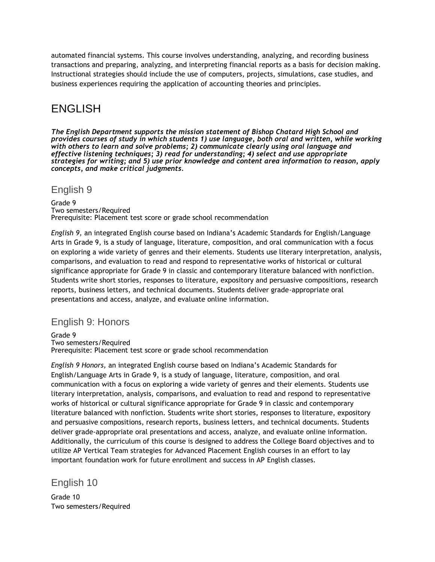automated financial systems. This course involves understanding, analyzing, and recording business transactions and preparing, analyzing, and interpreting financial reports as a basis for decision making. Instructional strategies should include the use of computers, projects, simulations, case studies, and business experiences requiring the application of accounting theories and principles.

# ENGLISH

*The English Department supports the mission statement of Bishop Chatard High School and provides courses of study in which students 1) use language, both oral and written, while working with others to learn and solve problems; 2) communicate clearly using oral language and effective listening techniques; 3) read for understanding; 4) select and use appropriate strategies for writing; and 5) use prior knowledge and content area information to reason, apply concepts, and make critical judgments.*

### English 9

Grade 9 Two semesters/Required Prerequisite: Placement test score or grade school recommendation

*English 9,* an integrated English course based on Indiana's Academic Standards for English/Language Arts in Grade 9, is a study of language, literature, composition, and oral communication with a focus on exploring a wide variety of genres and their elements. Students use literary interpretation, analysis, comparisons, and evaluation to read and respond to representative works of historical or cultural significance appropriate for Grade 9 in classic and contemporary literature balanced with nonfiction. Students write short stories, responses to literature, expository and persuasive compositions, research reports, business letters, and technical documents. Students deliver grade-appropriate oral presentations and access, analyze, and evaluate online information.

# English 9: Honors

Grade 9 Two semesters/Required Prerequisite: Placement test score or grade school recommendation

*English 9 Honors,* an integrated English course based on Indiana's Academic Standards for English/Language Arts in Grade 9, is a study of language, literature, composition, and oral communication with a focus on exploring a wide variety of genres and their elements. Students use literary interpretation, analysis, comparisons, and evaluation to read and respond to representative works of historical or cultural significance appropriate for Grade 9 in classic and contemporary literature balanced with nonfiction. Students write short stories, responses to literature, expository and persuasive compositions, research reports, business letters, and technical documents. Students deliver grade-appropriate oral presentations and access, analyze, and evaluate online information. Additionally, the curriculum of this course is designed to address the College Board objectives and to utilize AP Vertical Team strategies for Advanced Placement English courses in an effort to lay important foundation work for future enrollment and success in AP English classes.

English 10

Grade 10 Two semesters/Required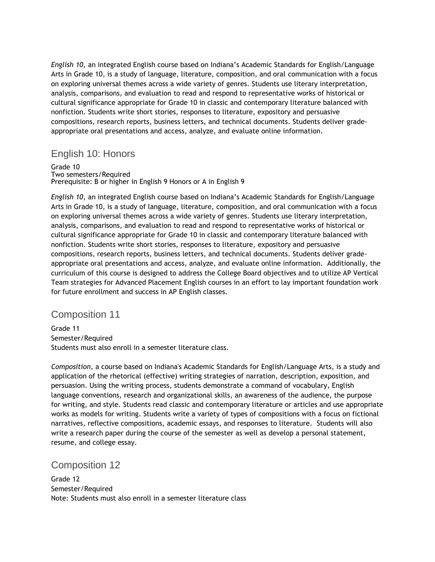*English 10,* an integrated English course based on Indiana's Academic Standards for English/Language Arts in Grade 10, is a study of language, literature, composition, and oral communication with a focus on exploring universal themes across a wide variety of genres. Students use literary interpretation, analysis, comparisons, and evaluation to read and respond to representative works of historical or cultural significance appropriate for Grade 10 in classic and contemporary literature balanced with nonfiction. Students write short stories, responses to literature, expository and persuasive compositions, research reports, business letters, and technical documents. Students deliver gradeappropriate oral presentations and access, analyze, and evaluate online information.

### English 10: Honors

Grade 10

Two semesters/Required Prerequisite: B or higher in English 9 Honors or A in English 9

*English 10,* an integrated English course based on Indiana's Academic Standards for English/Language Arts in Grade 10, is a study of language, literature, composition, and oral communication with a focus on exploring universal themes across a wide variety of genres. Students use literary interpretation, analysis, comparisons, and evaluation to read and respond to representative works of historical or cultural significance appropriate for Grade 10 in classic and contemporary literature balanced with nonfiction. Students write short stories, responses to literature, expository and persuasive compositions, research reports, business letters, and technical documents. Students deliver gradeappropriate oral presentations and access, analyze, and evaluate online information. Additionally, the curriculum of this course is designed to address the College Board objectives and to utilize AP Vertical Team strategies for Advanced Placement English courses in an effort to lay important foundation work for future enrollment and success in AP English classes.

### Composition 11

Grade 11 Semester/Required Students must also enroll in a semester literature class.

*Composition*, a course based on Indiana's Academic Standards for English/Language Arts, is a study and application of the rhetorical (effective) writing strategies of narration, description, exposition, and persuasion. Using the writing process, students demonstrate a command of vocabulary, English language conventions, research and organizational skills, an awareness of the audience, the purpose for writing, and style. Students read classic and contemporary literature or articles and use appropriate works as models for writing. Students write a variety of types of compositions with a focus on fictional narratives, reflective compositions, academic essays, and responses to literature. Students will also write a research paper during the course of the semester as well as develop a personal statement, resume, and college essay.

### Composition 12

Grade 12 Semester/Required Note: Students must also enroll in a semester literature class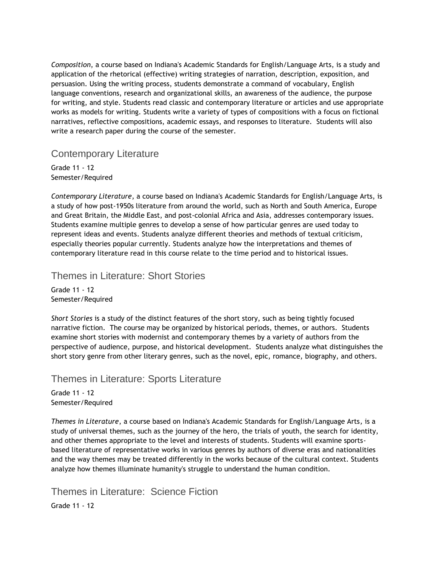*Composition*, a course based on Indiana's Academic Standards for English/Language Arts, is a study and application of the rhetorical (effective) writing strategies of narration, description, exposition, and persuasion. Using the writing process, students demonstrate a command of vocabulary, English language conventions, research and organizational skills, an awareness of the audience, the purpose for writing, and style. Students read classic and contemporary literature or articles and use appropriate works as models for writing. Students write a variety of types of compositions with a focus on fictional narratives, reflective compositions, academic essays, and responses to literature. Students will also write a research paper during the course of the semester.

### Contemporary Literature

Grade 11 - 12 Semester/Required

*Contemporary Literature*, a course based on Indiana's Academic Standards for English/Language Arts, is a study of how post-1950s literature from around the world, such as North and South America, Europe and Great Britain, the Middle East, and post-colonial Africa and Asia, addresses contemporary issues. Students examine multiple genres to develop a sense of how particular genres are used today to represent ideas and events. Students analyze different theories and methods of textual criticism, especially theories popular currently. Students analyze how the interpretations and themes of contemporary literature read in this course relate to the time period and to historical issues.

Themes in Literature: Short Stories

Grade 11 - 12 Semester/Required

*Short Stories* is a study of the distinct features of the short story, such as being tightly focused narrative fiction. The course may be organized by historical periods, themes, or authors. Students examine short stories with modernist and contemporary themes by a variety of authors from the perspective of audience, purpose, and historical development. Students analyze what distinguishes the short story genre from other literary genres, such as the novel, epic, romance, biography, and others.

### Themes in Literature: Sports Literature

Grade 11 - 12 Semester/Required

*Themes in Literature*, a course based on Indiana's Academic Standards for English/Language Arts*,* is a study of universal themes, such as the journey of the hero, the trials of youth, the search for identity, and other themes appropriate to the level and interests of students. Students will examine sportsbased literature of representative works in various genres by authors of diverse eras and nationalities and the way themes may be treated differently in the works because of the cultural context. Students analyze how themes illuminate humanity's struggle to understand the human condition.

Themes in Literature: Science Fiction Grade 11 - 12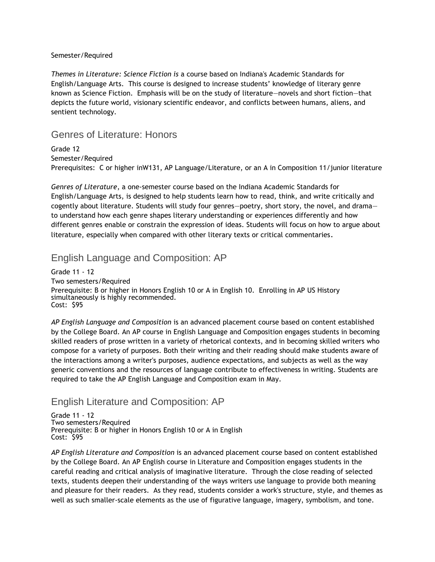#### Semester/Required

*Themes in Literature: Science Fiction is* a course based on Indiana's Academic Standards for English/Language Arts. This course is designed to increase students' knowledge of literary genre known as Science Fiction. Emphasis will be on the study of literature—novels and short fiction—that depicts the future world, visionary scientific endeavor, and conflicts between humans, aliens, and sentient technology.

### Genres of Literature: Honors

Grade 12 Semester/Required Prerequisites: C or higher inW131, AP Language/Literature, or an A in Composition 11/junior literature

*Genres of Literature*, a one-semester course based on the Indiana Academic Standards for English/Language Arts, is designed to help students learn how to read, think, and write critically and cogently about literature. Students will study four genres—poetry, short story, the novel, and drama to understand how each genre shapes literary understanding or experiences differently and how different genres enable or constrain the expression of ideas. Students will focus on how to argue about literature, especially when compared with other literary texts or critical commentaries.

### English Language and Composition: AP

Grade 11 - 12 Two semesters/Required Prerequisite: B or higher in Honors English 10 or A in English 10. Enrolling in AP US History simultaneously is highly recommended. Cost: \$95

*AP English Language and Composition* is an advanced placement course based on content established by the College Board. An AP course in English Language and Composition engages students in becoming skilled readers of prose written in a variety of rhetorical contexts, and in becoming skilled writers who compose for a variety of purposes. Both their writing and their reading should make students aware of the interactions among a writer's purposes, audience expectations, and subjects as well as the way generic conventions and the resources of language contribute to effectiveness in writing. Students are required to take the AP English Language and Composition exam in May.

# English Literature and Composition: AP

Grade 11 - 12 Two semesters/Required Prerequisite: B or higher in Honors English 10 or A in English Cost: \$95

*AP English Literature and Composition* is an advanced placement course based on content established by the College Board. An AP English course in Literature and Composition engages students in the careful reading and critical analysis of imaginative literature. Through the close reading of selected texts, students deepen their understanding of the ways writers use language to provide both meaning and pleasure for their readers. As they read, students consider a work's structure, style, and themes as well as such smaller-scale elements as the use of figurative language, imagery, symbolism, and tone.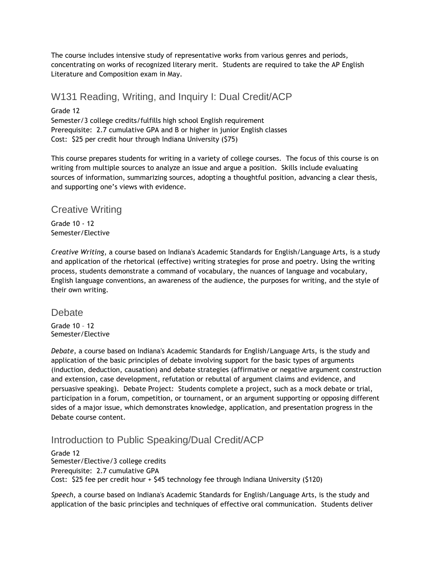The course includes intensive study of representative works from various genres and periods, concentrating on works of recognized literary merit. Students are required to take the AP English Literature and Composition exam in May.

# W131 Reading, Writing, and Inquiry I: Dual Credit/ACP

Grade 12 Semester/3 college credits/fulfills high school English requirement Prerequisite: 2.7 cumulative GPA and B or higher in junior English classes Cost: \$25 per credit hour through Indiana University (\$75)

This course prepares students for writing in a variety of college courses. The focus of this course is on writing from multiple sources to analyze an issue and argue a position. Skills include evaluating sources of information, summarizing sources, adopting a thoughtful position, advancing a clear thesis, and supporting one's views with evidence.

# Creative Writing

Grade 10 - 12 Semester/Elective

*Creative Writing*, a course based on Indiana's Academic Standards for English/Language Arts, is a study and application of the rhetorical (effective) writing strategies for prose and poetry. Using the writing process, students demonstrate a command of vocabulary, the nuances of language and vocabulary, English language conventions, an awareness of the audience, the purposes for writing, and the style of their own writing.

### **Debate**

Grade 10 – 12 Semester/Elective

*Debate*, a course based on Indiana's Academic Standards for English/Language Arts, is the study and application of the basic principles of debate involving support for the basic types of arguments (induction, deduction, causation) and debate strategies (affirmative or negative argument construction and extension, case development, refutation or rebuttal of argument claims and evidence, and persuasive speaking). Debate Project: Students complete a project, such as a mock debate or trial, participation in a forum, competition, or tournament, or an argument supporting or opposing different sides of a major issue, which demonstrates knowledge, application, and presentation progress in the Debate course content.

# Introduction to Public Speaking/Dual Credit/ACP

Grade 12 Semester/Elective/3 college credits Prerequisite: 2.7 cumulative GPA Cost: \$25 fee per credit hour + \$45 technology fee through Indiana University (\$120)

*Speech*, a course based on Indiana's Academic Standards for English/Language Arts, is the study and application of the basic principles and techniques of effective oral communication. Students deliver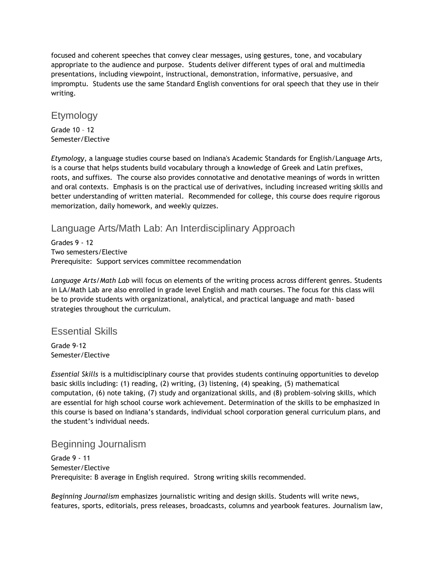focused and coherent speeches that convey clear messages, using gestures, tone, and vocabulary appropriate to the audience and purpose. Students deliver different types of oral and multimedia presentations, including viewpoint, instructional, demonstration, informative, persuasive, and impromptu. Students use the same Standard English conventions for oral speech that they use in their writing.

### Etymology

Grade 10 – 12 Semester/Elective

*Etymology*, a language studies course based on Indiana's Academic Standards for English/Language Arts, is a course that helps students build vocabulary through a knowledge of Greek and Latin prefixes, roots, and suffixes. The course also provides connotative and denotative meanings of words in written and oral contexts. Emphasis is on the practical use of derivatives, including increased writing skills and better understanding of written material. Recommended for college, this course does require rigorous memorization, daily homework, and weekly quizzes.

# Language Arts/Math Lab: An Interdisciplinary Approach

Grades 9 - 12 Two semesters/Elective Prerequisite: Support services committee recommendation

*Language Arts/Math Lab* will focus on elements of the writing process across different genres. Students in LA/Math Lab are also enrolled in grade level English and math courses. The focus for this class will be to provide students with organizational, analytical, and practical language and math- based strategies throughout the curriculum.

# Essential Skills

Grade 9-12 Semester/Elective

*Essential Skills* is a multidisciplinary course that provides students continuing opportunities to develop basic skills including: (1) reading, (2) writing, (3) listening, (4) speaking, (5) mathematical computation, (6) note taking, (7) study and organizational skills, and (8) problem-solving skills, which are essential for high school course work achievement. Determination of the skills to be emphasized in this course is based on Indiana's standards, individual school corporation general curriculum plans, and the student's individual needs.

# Beginning Journalism

Grade 9 - 11 Semester/Elective Prerequisite: B average in English required. Strong writing skills recommended.

*Beginning Journalism* emphasizes journalistic writing and design skills. Students will write news, features, sports, editorials, press releases, broadcasts, columns and yearbook features. Journalism law,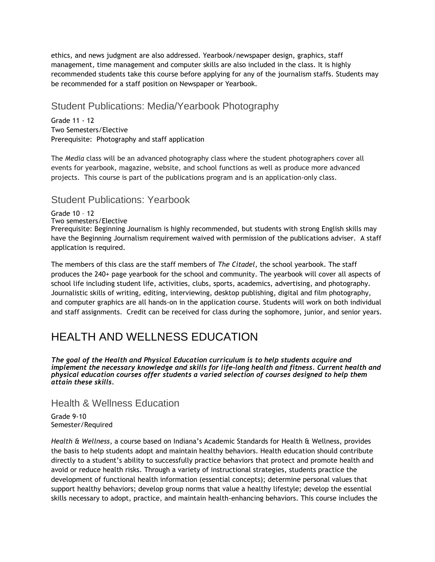ethics, and news judgment are also addressed. Yearbook/newspaper design, graphics, staff management, time management and computer skills are also included in the class. It is highly recommended students take this course before applying for any of the journalism staffs. Students may be recommended for a staff position on Newspaper or Yearbook.

# Student Publications: Media/Yearbook Photography

Grade 11 - 12 Two Semesters/Elective Prerequisite: Photography and staff application

The *Media* class will be an advanced photography class where the student photographers cover all events for yearbook, magazine, website, and school functions as well as produce more advanced projects. This course is part of the publications program and is an application-only class.

# Student Publications: Yearbook

Grade 10 – 12 Two semesters/Elective Prerequisite: Beginning Journalism is highly recommended, but students with strong English skills may have the Beginning Journalism requirement waived with permission of the publications adviser. A staff application is required.

The members of this class are the staff members of *The Citadel,* the school yearbook. The staff produces the 240+ page yearbook for the school and community. The yearbook will cover all aspects of school life including student life, activities, clubs, sports, academics, advertising, and photography. Journalistic skills of writing, editing, interviewing, desktop publishing, digital and film photography, and computer graphics are all hands-on in the application course. Students will work on both individual and staff assignments. Credit can be received for class during the sophomore, junior, and senior years.

# HEALTH AND WELLNESS EDUCATION

*The goal of the Health and Physical Education curriculum is to help students acquire and implement the necessary knowledge and skills for life-long health and fitness. Current health and physical education courses offer students a varied selection of courses designed to help them attain these skills.*

Health & Wellness Education

Grade 9-10 Semester/Required

*Health & Wellness*, a course based on Indiana's Academic Standards for Health & Wellness, provides the basis to help students adopt and maintain healthy behaviors. Health education should contribute directly to a student's ability to successfully practice behaviors that protect and promote health and avoid or reduce health risks. Through a variety of instructional strategies, students practice the development of functional health information (essential concepts); determine personal values that support healthy behaviors; develop group norms that value a healthy lifestyle; develop the essential skills necessary to adopt, practice, and maintain health-enhancing behaviors. This course includes the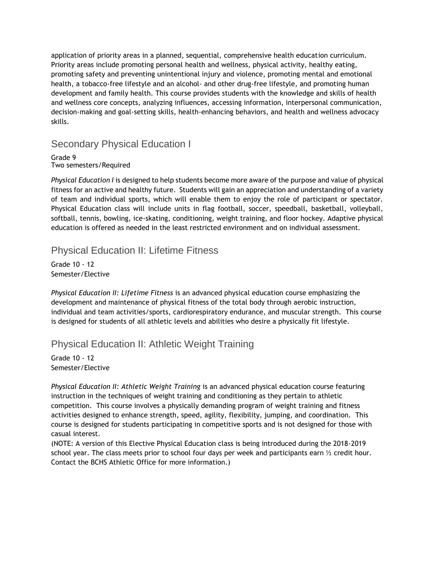application of priority areas in a planned, sequential, comprehensive health education curriculum. Priority areas include promoting personal health and wellness, physical activity, healthy eating, promoting safety and preventing unintentional injury and violence, promoting mental and emotional health, a tobacco-free lifestyle and an alcohol- and other drug-free lifestyle, and promoting human development and family health. This course provides students with the knowledge and skills of health and wellness core concepts, analyzing influences, accessing information, interpersonal communication, decision-making and goal-setting skills, health-enhancing behaviors, and health and wellness advocacy skills.

Secondary Physical Education I

Grade 9 Two semesters/Required

*Physical Education I* is designed to help students become more aware of the purpose and value of physical fitness for an active and healthy future. Students will gain an appreciation and understanding of a variety of team and individual sports, which will enable them to enjoy the role of participant or spectator. Physical Education class will include units in flag football, soccer, speedball, basketball, volleyball, softball, tennis, bowling, ice-skating, conditioning, weight training, and floor hockey. Adaptive physical education is offered as needed in the least restricted environment and on individual assessment*.*

# Physical Education II: Lifetime Fitness

Grade 10 - 12 Semester/Elective

*Physical Education II: Lifetime Fitness* is an advanced physical education course emphasizing the development and maintenance of physical fitness of the total body through aerobic instruction, individual and team activities/sports, cardiorespiratory endurance, and muscular strength. This course is designed for students of all athletic levels and abilities who desire a physically fit lifestyle.

# Physical Education II: Athletic Weight Training

Grade 10 - 12 Semester/Elective

*Physical Education II: Athletic Weight Training* is an advanced physical education course featuring instruction in the techniques of weight training and conditioning as they pertain to athletic competition. This course involves a physically demanding program of weight training and fitness activities designed to enhance strength, speed, agility, flexibility, jumping, and coordination. This course is designed for students participating in competitive sports and is not designed for those with casual interest.

(NOTE: A version of this Elective Physical Education class is being introduced during the 2018-2019 school year. The class meets prior to school four days per week and participants earn  $\frac{1}{2}$  credit hour. Contact the BCHS Athletic Office for more information.)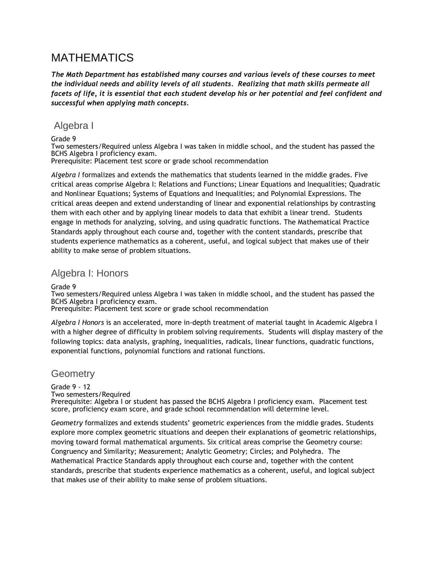# MATHEMATICS

*The Math Department has established many courses and various levels of these courses to meet the individual needs and ability levels of all students. Realizing that math skills permeate all facets of life, it is essential that each student develop his or her potential and feel confident and successful when applying math concepts.* 

# Algebra I

Grade 9

Two semesters/Required unless Algebra I was taken in middle school, and the student has passed the BCHS Algebra I proficiency exam.

Prerequisite: Placement test score or grade school recommendation

*Algebra I* formalizes and extends the mathematics that students learned in the middle grades. Five critical areas comprise Algebra I: Relations and Functions; Linear Equations and Inequalities; Quadratic and Nonlinear Equations; Systems of Equations and Inequalities; and Polynomial Expressions. The critical areas deepen and extend understanding of linear and exponential relationships by contrasting them with each other and by applying linear models to data that exhibit a linear trend. Students engage in methods for analyzing, solving, and using quadratic functions. The Mathematical Practice Standards apply throughout each course and, together with the content standards, prescribe that students experience mathematics as a coherent, useful, and logical subject that makes use of their ability to make sense of problem situations.

# Algebra I: Honors

Grade 9

Two semesters/Required unless Algebra I was taken in middle school, and the student has passed the BCHS Algebra I proficiency exam.

Prerequisite: Placement test score or grade school recommendation

*Algebra I Honors* is an accelerated, more in-depth treatment of material taught in Academic Algebra I with a higher degree of difficulty in problem solving requirements. Students will display mastery of the following topics: data analysis, graphing, inequalities, radicals, linear functions, quadratic functions, exponential functions, polynomial functions and rational functions.

### **Geometry**

Grade 9 - 12 Two semesters/Required Prerequisite: Algebra I or student has passed the BCHS Algebra I proficiency exam. Placement test score, proficiency exam score, and grade school recommendation will determine level.

*Geometry* formalizes and extends students' geometric experiences from the middle grades. Students explore more complex geometric situations and deepen their explanations of geometric relationships, moving toward formal mathematical arguments. Six critical areas comprise the Geometry course: Congruency and Similarity; Measurement; Analytic Geometry; Circles; and Polyhedra. The Mathematical Practice Standards apply throughout each course and, together with the content standards, prescribe that students experience mathematics as a coherent, useful, and logical subject that makes use of their ability to make sense of problem situations.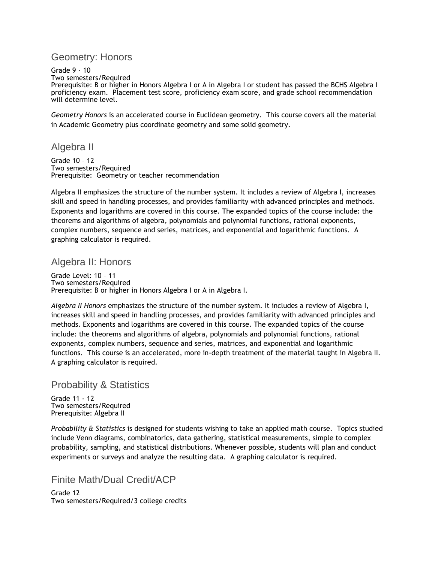# Geometry: Honors

Grade 9 - 10 Two semesters/Required Prerequisite: B or higher in Honors Algebra I or A in Algebra I or student has passed the BCHS Algebra I proficiency exam. Placement test score, proficiency exam score, and grade school recommendation will determine level.

*Geometry Honors* is an accelerated course in Euclidean geometry. This course covers all the material in Academic Geometry plus coordinate geometry and some solid geometry.

# Algebra II

Grade 10 – 12 Two semesters/Required Prerequisite: Geometry or teacher recommendation

Algebra II emphasizes the structure of the number system. It includes a review of Algebra I, increases skill and speed in handling processes, and provides familiarity with advanced principles and methods. Exponents and logarithms are covered in this course. The expanded topics of the course include: the theorems and algorithms of algebra, polynomials and polynomial functions, rational exponents, complex numbers, sequence and series, matrices, and exponential and logarithmic functions. A graphing calculator is required.

# Algebra II: Honors

Grade Level: 10 – 11 Two semesters/Required Prerequisite: B or higher in Honors Algebra I or A in Algebra I.

*Algebra II Honors* emphasizes the structure of the number system. It includes a review of Algebra I, increases skill and speed in handling processes, and provides familiarity with advanced principles and methods. Exponents and logarithms are covered in this course. The expanded topics of the course include: the theorems and algorithms of algebra, polynomials and polynomial functions, rational exponents, complex numbers, sequence and series, matrices, and exponential and logarithmic functions. This course is an accelerated, more in-depth treatment of the material taught in Algebra II. A graphing calculator is required.

# Probability & Statistics

Grade 11 - 12 Two semesters/Required Prerequisite: Algebra II

*Probability & Statistics* is designed for students wishing to take an applied math course. Topics studied include Venn diagrams, combinatorics, data gathering, statistical measurements, simple to complex probability, sampling, and statistical distributions. Whenever possible, students will plan and conduct experiments or surveys and analyze the resulting data. A graphing calculator is required.

# Finite Math/Dual Credit/ACP

Grade 12 Two semesters/Required/3 college credits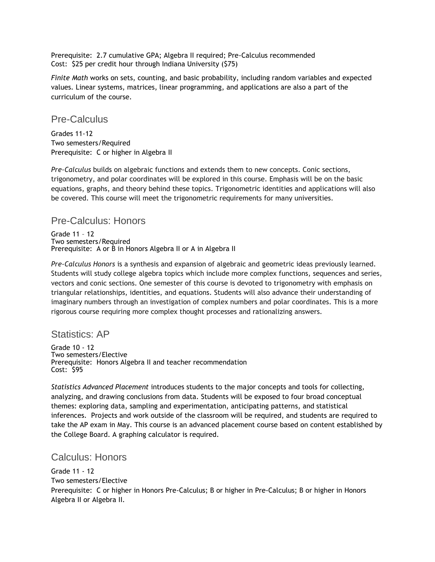Prerequisite: 2.7 cumulative GPA; Algebra II required; Pre-Calculus recommended Cost: \$25 per credit hour through Indiana University (\$75)

*Finite Math* works on sets, counting, and basic probability, including random variables and expected values. Linear systems, matrices, linear programming, and applications are also a part of the curriculum of the course.

### Pre-Calculus

Grades 11-12 Two semesters/Required Prerequisite: C or higher in Algebra II

*Pre-Calculus* builds on algebraic functions and extends them to new concepts. Conic sections, trigonometry, and polar coordinates will be explored in this course. Emphasis will be on the basic equations, graphs, and theory behind these topics. Trigonometric identities and applications will also be covered. This course will meet the trigonometric requirements for many universities.

### Pre-Calculus: Honors

Grade 11 – 12 Two semesters/Required Prerequisite: A or B in Honors Algebra II or A in Algebra II

*Pre-Calculus Honors* is a synthesis and expansion of algebraic and geometric ideas previously learned. Students will study college algebra topics which include more complex functions, sequences and series, vectors and conic sections. One semester of this course is devoted to trigonometry with emphasis on triangular relationships, identities, and equations. Students will also advance their understanding of imaginary numbers through an investigation of complex numbers and polar coordinates. This is a more rigorous course requiring more complex thought processes and rationalizing answers.

### Statistics: AP

Grade 10 - 12 Two semesters/Elective Prerequisite: Honors Algebra II and teacher recommendation Cost: \$95

*Statistics Advanced Placement* introduces students to the major concepts and tools for collecting, analyzing, and drawing conclusions from data. Students will be exposed to four broad conceptual themes: exploring data, sampling and experimentation, anticipating patterns, and statistical inferences. Projects and work outside of the classroom will be required, and students are required to take the AP exam in May. This course is an advanced placement course based on content established by the College Board. A graphing calculator is required.

# Calculus: Honors

Grade 11 - 12 Two semesters/Elective Prerequisite: C or higher in Honors Pre-Calculus; B or higher in Pre-Calculus; B or higher in Honors Algebra II or Algebra II.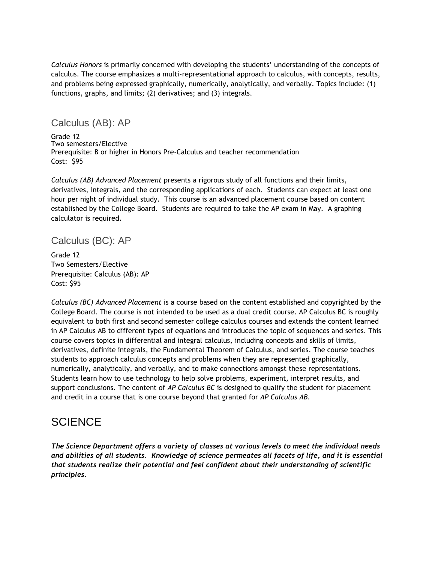*Calculus Honors* is primarily concerned with developing the students' understanding of the concepts of calculus. The course emphasizes a multi-representational approach to calculus, with concepts, results, and problems being expressed graphically, numerically, analytically, and verbally. Topics include: (1) functions, graphs, and limits; (2) derivatives; and (3) integrals.

### Calculus (AB): AP

Grade 12 Two semesters/Elective Prerequisite: B or higher in Honors Pre-Calculus and teacher recommendation Cost: \$95

*Calculus (AB) Advanced Placement* presents a rigorous study of all functions and their limits, derivatives, integrals, and the corresponding applications of each. Students can expect at least one hour per night of individual study. This course is an advanced placement course based on content established by the College Board. Students are required to take the AP exam in May. A graphing calculator is required.

# Calculus (BC): AP

Grade 12 Two Semesters/Elective Prerequisite: Calculus (AB): AP Cost: \$95

*Calculus (BC) Advanced Placement* is a course based on the content established and copyrighted by the College Board. The course is not intended to be used as a dual credit course. AP Calculus BC is roughly equivalent to both first and second semester college calculus courses and extends the content learned in AP Calculus AB to different types of equations and introduces the topic of sequences and series. This course covers topics in differential and integral calculus, including concepts and skills of limits, derivatives, definite integrals, the Fundamental Theorem of Calculus, and series. The course teaches students to approach calculus concepts and problems when they are represented graphically, numerically, analytically, and verbally, and to make connections amongst these representations. Students learn how to use technology to help solve problems, experiment, interpret results, and support conclusions. The content of *AP Calculus BC* is designed to qualify the student for placement and credit in a course that is one course beyond that granted for *AP Calculus AB.*

# **SCIENCE**

*The Science Department offers a variety of classes at various levels to meet the individual needs and abilities of all students. Knowledge of science permeates all facets of life, and it is essential that students realize their potential and feel confident about their understanding of scientific principles.*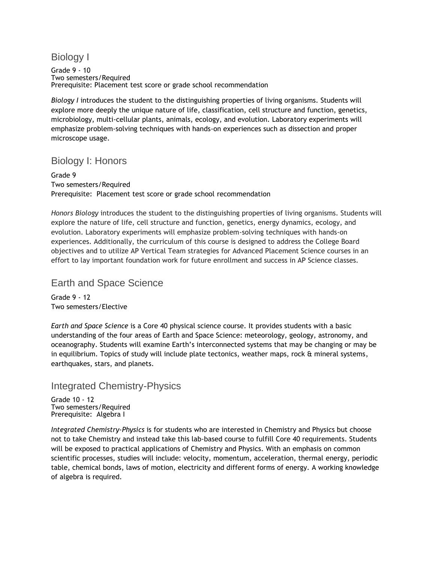# Biology I

Grade 9 - 10 Two semesters/Required Prerequisite: Placement test score or grade school recommendation

*Biology I* introduces the student to the distinguishing properties of living organisms. Students will explore more deeply the unique nature of life, classification, cell structure and function, genetics, microbiology, multi-cellular plants, animals, ecology, and evolution. Laboratory experiments will emphasize problem-solving techniques with hands-on experiences such as dissection and proper microscope usage.

# Biology I: Honors

Grade 9 Two semesters/Required Prerequisite: Placement test score or grade school recommendation

*Honors Biology* introduces the student to the distinguishing properties of living organisms. Students will explore the nature of life, cell structure and function, genetics, energy dynamics, ecology, and evolution. Laboratory experiments will emphasize problem-solving techniques with hands-on experiences. Additionally, the curriculum of this course is designed to address the College Board objectives and to utilize AP Vertical Team strategies for Advanced Placement Science courses in an effort to lay important foundation work for future enrollment and success in AP Science classes.

### Earth and Space Science

Grade 9 - 12 Two semesters/Elective

*Earth and Space Science* is a Core 40 physical science course. It provides students with a basic understanding of the four areas of Earth and Space Science: meteorology, geology, astronomy, and oceanography. Students will examine Earth's interconnected systems that may be changing or may be in equilibrium. Topics of study will include plate tectonics, weather maps, rock & mineral systems, earthquakes, stars, and planets.

### Integrated Chemistry-Physics

Grade 10 - 12 Two semesters/Required Prerequisite: Algebra I

*Integrated Chemistry-Physics* is for students who are interested in Chemistry and Physics but choose not to take Chemistry and instead take this lab-based course to fulfill Core 40 requirements. Students will be exposed to practical applications of Chemistry and Physics. With an emphasis on common scientific processes, studies will include: velocity, momentum, acceleration, thermal energy, periodic table, chemical bonds, laws of motion, electricity and different forms of energy. A working knowledge of algebra is required.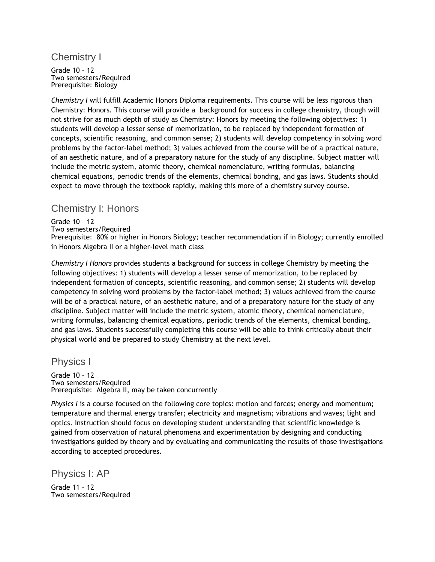# Chemistry I

Grade 10 – 12 Two semesters/Required Prerequisite: Biology

*Chemistry I* will fulfill Academic Honors Diploma requirements. This course will be less rigorous than Chemistry: Honors. This course will provide a background for success in college chemistry, though will not strive for as much depth of study as Chemistry: Honors by meeting the following objectives: 1) students will develop a lesser sense of memorization, to be replaced by independent formation of concepts, scientific reasoning, and common sense; 2) students will develop competency in solving word problems by the factor-label method; 3) values achieved from the course will be of a practical nature, of an aesthetic nature, and of a preparatory nature for the study of any discipline. Subject matter will include the metric system, atomic theory, chemical nomenclature, writing formulas, balancing chemical equations, periodic trends of the elements, chemical bonding, and gas laws. Students should expect to move through the textbook rapidly, making this more of a chemistry survey course.

# Chemistry I: Honors

#### Grade 10 – 12

Two semesters/Required

Prerequisite: 80% or higher in Honors Biology; teacher recommendation if in Biology; currently enrolled in Honors Algebra II or a higher-level math class

*Chemistry I Honors* provides students a background for success in college Chemistry by meeting the following objectives: 1) students will develop a lesser sense of memorization, to be replaced by independent formation of concepts, scientific reasoning, and common sense; 2) students will develop competency in solving word problems by the factor-label method; 3) values achieved from the course will be of a practical nature, of an aesthetic nature, and of a preparatory nature for the study of any discipline. Subject matter will include the metric system, atomic theory, chemical nomenclature, writing formulas, balancing chemical equations, periodic trends of the elements, chemical bonding, and gas laws. Students successfully completing this course will be able to think critically about their physical world and be prepared to study Chemistry at the next level.

### Physics I

Grade 10 – 12 Two semesters/Required Prerequisite: Algebra II, may be taken concurrently

*Physics I* is a course focused on the following core topics: motion and forces; energy and momentum; temperature and thermal energy transfer; electricity and magnetism; vibrations and waves; light and optics. Instruction should focus on developing student understanding that scientific knowledge is gained from observation of natural phenomena and experimentation by designing and conducting investigations guided by theory and by evaluating and communicating the results of those investigations according to accepted procedures.

Physics I: AP

Grade 11 – 12 Two semesters/Required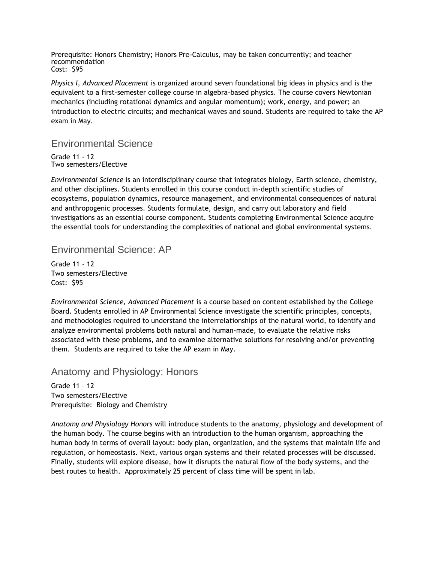Prerequisite: Honors Chemistry; Honors Pre-Calculus, may be taken concurrently; and teacher recommendation Cost: \$95

*Physics I, Advanced Placement* is organized around seven foundational big ideas in physics and is the equivalent to a first-semester college course in algebra-based physics. The course covers Newtonian mechanics (including rotational dynamics and angular momentum); work, energy, and power; an introduction to electric circuits; and mechanical waves and sound. Students are required to take the AP exam in May.

### Environmental Science

Grade 11 - 12 Two semesters/Elective

*Environmental Science* is an interdisciplinary course that integrates biology, Earth science, chemistry, and other disciplines. Students enrolled in this course conduct in-depth scientific studies of ecosystems, population dynamics, resource management, and environmental consequences of natural and anthropogenic processes. Students formulate, design, and carry out laboratory and field investigations as an essential course component. Students completing Environmental Science acquire the essential tools for understanding the complexities of national and global environmental systems.

# Environmental Science: AP

Grade 11 - 12 Two semesters/Elective Cost: \$95

*Environmental Science, Advanced Placement* is a course based on content established by the College Board. Students enrolled in AP Environmental Science investigate the scientific principles, concepts, and methodologies required to understand the interrelationships of the natural world, to identify and analyze environmental problems both natural and human-made, to evaluate the relative risks associated with these problems, and to examine alternative solutions for resolving and/or preventing them. Students are required to take the AP exam in May.

# Anatomy and Physiology: Honors

Grade 11 – 12 Two semesters/Elective Prerequisite: Biology and Chemistry

*Anatomy and Physiology Honors* will introduce students to the anatomy, physiology and development of the human body. The course begins with an introduction to the human organism, approaching the human body in terms of overall layout: body plan, organization, and the systems that maintain life and regulation, or homeostasis. Next, various organ systems and their related processes will be discussed. Finally, students will explore disease, how it disrupts the natural flow of the body systems, and the best routes to health. Approximately 25 percent of class time will be spent in lab.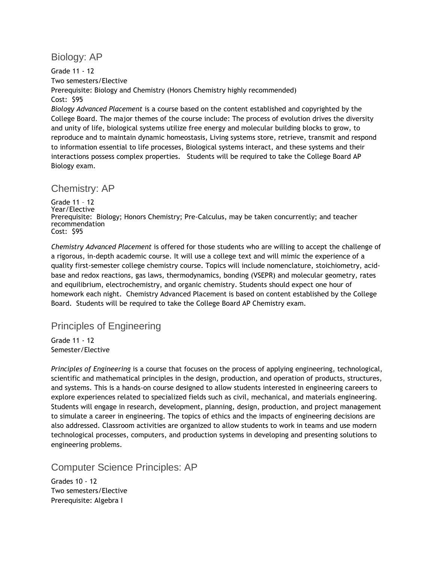Biology: AP

Grade 11 - 12 Two semesters/Elective Prerequisite: Biology and Chemistry (Honors Chemistry highly recommended) Cost: \$95 *Biology Advanced Placement* is a course based on the content established and copyrighted by the College Board. The major themes of the course include: The process of evolution drives the diversity and unity of life, biological systems utilize free energy and molecular building blocks to grow, to reproduce and to maintain dynamic homeostasis, Living systems store, retrieve, transmit and respond to information essential to life processes, Biological systems interact, and these systems and their interactions possess complex properties. Students will be required to take the College Board AP Biology exam.

### Chemistry: AP

Grade 11 – 12 Year/Elective Prerequisite: Biology; Honors Chemistry; Pre-Calculus, may be taken concurrently; and teacher recommendation Cost: \$95

*Chemistry Advanced Placement* is offered for those students who are willing to accept the challenge of a rigorous, in-depth academic course. It will use a college text and will mimic the experience of a quality first-semester college chemistry course. Topics will include nomenclature, stoichiometry, acidbase and redox reactions, gas laws, thermodynamics, bonding (VSEPR) and molecular geometry, rates and equilibrium, electrochemistry, and organic chemistry. Students should expect one hour of homework each night. Chemistry Advanced Placement is based on content established by the College Board. Students will be required to take the College Board AP Chemistry exam.

### Principles of Engineering

Grade 11 - 12 Semester/Elective

*Principles of Engineering* is a course that focuses on the process of applying engineering, technological, scientific and mathematical principles in the design, production, and operation of products, structures, and systems. This is a hands-on course designed to allow students interested in engineering careers to explore experiences related to specialized fields such as civil, mechanical, and materials engineering. Students will engage in research, development, planning, design, production, and project management to simulate a career in engineering. The topics of ethics and the impacts of engineering decisions are also addressed. Classroom activities are organized to allow students to work in teams and use modern technological processes, computers, and production systems in developing and presenting solutions to engineering problems.

### Computer Science Principles: AP

Grades 10 - 12 Two semesters/Elective Prerequisite: Algebra I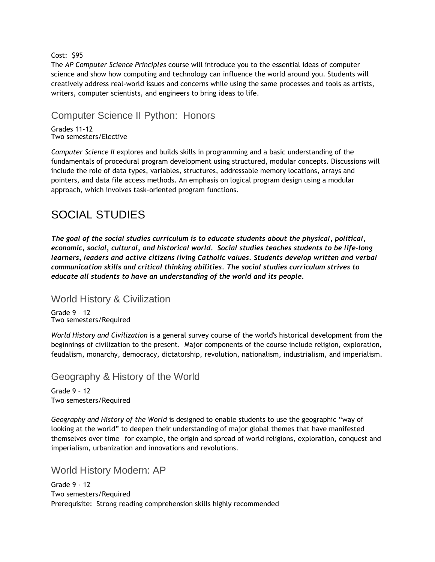#### Cost: \$95

The *AP Computer Science Principles* course will introduce you to the essential ideas of computer science and show how computing and technology can influence the world around you. Students will creatively address real-world issues and concerns while using the same processes and tools as artists, writers, computer scientists, and engineers to bring ideas to life.

# Computer Science II Python: Honors

Grades 11-12 Two semesters/Elective

*Computer Science II* explores and builds skills in programming and a basic understanding of the fundamentals of procedural program development using structured, modular concepts. Discussions will include the role of data types, variables, structures, addressable memory locations, arrays and pointers, and data file access methods. An emphasis on logical program design using a modular approach, which involves task-oriented program functions.

# SOCIAL STUDIES

*The goal of the social studies curriculum is to educate students about the physical, political, economic, social, cultural, and historical world. Social studies teaches students to be life-long learners, leaders and active citizens living Catholic values. Students develop written and verbal communication skills and critical thinking abilities. The social studies curriculum strives to educate all students to have an understanding of the world and its people.* 

### World History & Civilization

Grade 9 – 12 Two semesters/Required

*World History and Civilization* is a general survey course of the world's historical development from the beginnings of civilization to the present. Major components of the course include religion, exploration, feudalism, monarchy, democracy, dictatorship, revolution, nationalism, industrialism, and imperialism.

# Geography & History of the World

Grade 9 – 12 Two semesters/Required

*Geography and History of the World* is designed to enable students to use the geographic "way of looking at the world" to deepen their understanding of major global themes that have manifested themselves over time—for example, the origin and spread of world religions, exploration, conquest and imperialism, urbanization and innovations and revolutions.

### World History Modern: AP

Grade 9 - 12 Two semesters/Required Prerequisite: Strong reading comprehension skills highly recommended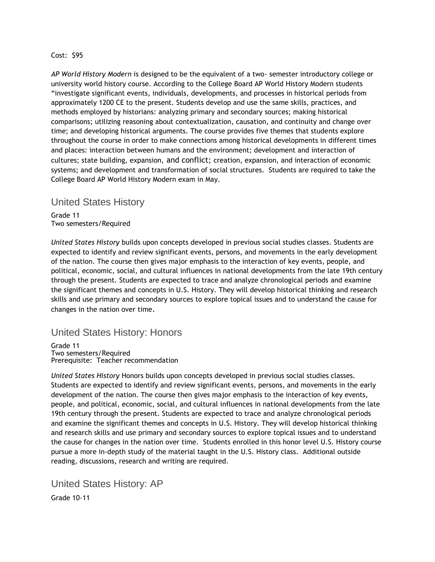#### Cost: \$95

*AP World History Modern* is designed to be the equivalent of a two- semester introductory college or university world history course. According to the College Board AP World History Modern students "investigate significant events, individuals, developments, and processes in historical periods from approximately 1200 CE to the present. Students develop and use the same skills, practices, and methods employed by historians: analyzing primary and secondary sources; making historical comparisons; utilizing reasoning about contextualization, causation, and continuity and change over time; and developing historical arguments. The course provides five themes that students explore throughout the course in order to make connections among historical developments in different times and places: interaction between humans and the environment; development and interaction of cultures; state building, expansion, and conflict; creation, expansion, and interaction of economic systems; and development and transformation of social structures. Students are required to take the College Board AP World History Modern exam in May.

### United States History

Grade 11 Two semesters/Required

*United States History* builds upon concepts developed in previous social studies classes. Students are expected to identify and review significant events, persons, and movements in the early development of the nation. The course then gives major emphasis to the interaction of key events, people, and political, economic, social, and cultural influences in national developments from the late 19th century through the present. Students are expected to trace and analyze chronological periods and examine the significant themes and concepts in U.S. History. They will develop historical thinking and research skills and use primary and secondary sources to explore topical issues and to understand the cause for changes in the nation over time.

# United States History: Honors

Grade 11 Two semesters/Required Prerequisite: Teacher recommendation

*United States History* Honors builds upon concepts developed in previous social studies classes. Students are expected to identify and review significant events, persons, and movements in the early development of the nation. The course then gives major emphasis to the interaction of key events, people, and political, economic, social, and cultural influences in national developments from the late 19th century through the present. Students are expected to trace and analyze chronological periods and examine the significant themes and concepts in U.S. History. They will develop historical thinking and research skills and use primary and secondary sources to explore topical issues and to understand the cause for changes in the nation over time. Students enrolled in this honor level U.S. History course pursue a more in-depth study of the material taught in the U.S. History class. Additional outside reading, discussions, research and writing are required.

United States History: AP

Grade 10-11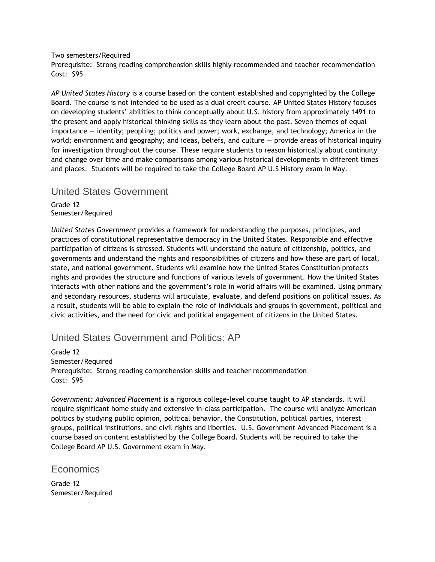Two semesters/Required

Prerequisite: Strong reading comprehension skills highly recommended and teacher recommendation Cost: \$95

*AP United States History* is a course based on the content established and copyrighted by the College Board. The course is not intended to be used as a dual credit course. AP United States History focuses on developing students' abilities to think conceptually about U.S. history from approximately 1491 to the present and apply historical thinking skills as they learn about the past. Seven themes of equal importance — identity; peopling; politics and power; work, exchange, and technology; America in the world; environment and geography; and ideas, beliefs, and culture — provide areas of historical inquiry for investigation throughout the course. These require students to reason historically about continuity and change over time and make comparisons among various historical developments in different times and places. Students will be required to take the College Board AP U.S History exam in May.

### United States Government

Grade 12 Semester/Required

*United States Government* provides a framework for understanding the purposes, principles, and practices of constitutional representative democracy in the United States. Responsible and effective participation of citizens is stressed. Students will understand the nature of citizenship, politics, and governments and understand the rights and responsibilities of citizens and how these are part of local, state, and national government. Students will examine how the United States Constitution protects rights and provides the structure and functions of various levels of government. How the United States interacts with other nations and the government's role in world affairs will be examined. Using primary and secondary resources, students will articulate, evaluate, and defend positions on political issues. As a result, students will be able to explain the role of individuals and groups in government, political and civic activities, and the need for civic and political engagement of citizens in the United States.

### United States Government and Politics: AP

Grade 12 Semester/Required Prerequisite: Strong reading comprehension skills and teacher recommendation Cost: \$95

*Government: Advanced Placement* is a rigorous college-level course taught to AP standards. It will require significant home study and extensive in-class participation. The course will analyze American politics by studying public opinion, political behavior, the Constitution, political parties, interest groups, political institutions, and civil rights and liberties. U.S. Government Advanced Placement is a course based on content established by the College Board. Students will be required to take the College Board AP U.S. Government exam in May.

### **Economics**

Grade 12 Semester/Required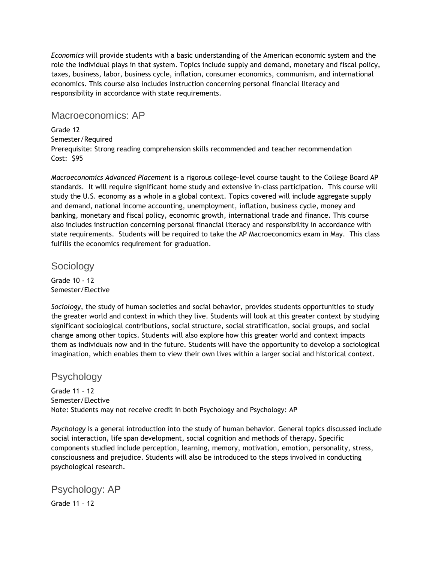*Economics* will provide students with a basic understanding of the American economic system and the role the individual plays in that system. Topics include supply and demand, monetary and fiscal policy, taxes, business, labor, business cycle, inflation, consumer economics, communism, and international economics. This course also includes instruction concerning personal financial literacy and responsibility in accordance with state requirements.

### Macroeconomics: AP

Grade 12 Semester/Required Prerequisite: Strong reading comprehension skills recommended and teacher recommendation Cost: \$95

*Macroeconomics Advanced Placement* is a rigorous college-level course taught to the College Board AP standards. It will require significant home study and extensive in-class participation. This course will study the U.S. economy as a whole in a global context. Topics covered will include aggregate supply and demand, national income accounting, unemployment, inflation, business cycle, money and banking, monetary and fiscal policy, economic growth, international trade and finance. This course also includes instruction concerning personal financial literacy and responsibility in accordance with state requirements. Students will be required to take the AP Macroeconomics exam in May. This class fulfills the economics requirement for graduation.

Sociology

Grade 10 - 12 Semester/Elective

*Sociology*, the study of human societies and social behavior, provides students opportunities to study the greater world and context in which they live. Students will look at this greater context by studying significant sociological contributions, social structure, social stratification, social groups, and social change among other topics. Students will also explore how this greater world and context impacts them as individuals now and in the future. Students will have the opportunity to develop a sociological imagination, which enables them to view their own lives within a larger social and historical context.

### **Psychology**

Grade 11 – 12 Semester/Elective Note: Students may not receive credit in both Psychology and Psychology: AP

*Psychology* is a general introduction into the study of human behavior. General topics discussed include social interaction, life span development, social cognition and methods of therapy. Specific components studied include perception, learning, memory, motivation, emotion, personality, stress, consciousness and prejudice. Students will also be introduced to the steps involved in conducting psychological research.

Psychology: AP Grade 11 – 12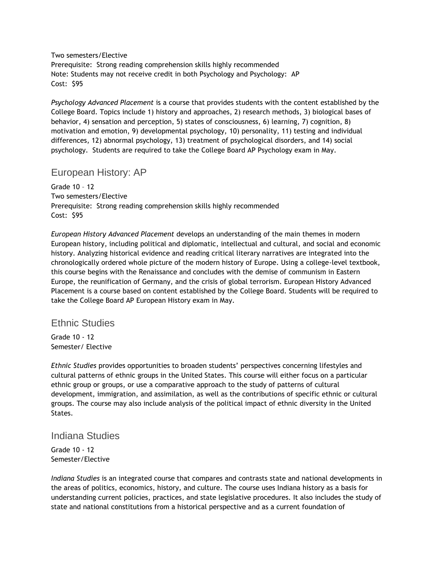Two semesters/Elective

Prerequisite: Strong reading comprehension skills highly recommended Note: Students may not receive credit in both Psychology and Psychology: AP Cost: \$95

*Psychology Advanced Placement* is a course that provides students with the content established by the College Board. Topics include 1) history and approaches, 2) research methods, 3) biological bases of behavior, 4) sensation and perception, 5) states of consciousness, 6) learning, 7) cognition, 8) motivation and emotion, 9) developmental psychology, 10) personality, 11) testing and individual differences, 12) abnormal psychology, 13) treatment of psychological disorders, and 14) social psychology. Students are required to take the College Board AP Psychology exam in May.

### European History: AP

Grade 10 – 12 Two semesters/Elective Prerequisite: Strong reading comprehension skills highly recommended Cost: \$95

*European History Advanced Placement* develops an understanding of the main themes in modern European history, including political and diplomatic, intellectual and cultural, and social and economic history. Analyzing historical evidence and reading critical literary narratives are integrated into the chronologically ordered whole picture of the modern history of Europe. Using a college-level textbook, this course begins with the Renaissance and concludes with the demise of communism in Eastern Europe, the reunification of Germany, and the crisis of global terrorism. European History Advanced Placement is a course based on content established by the College Board. Students will be required to take the College Board AP European History exam in May.

### Ethnic Studies

Grade 10 - 12 Semester/ Elective

*Ethnic Studies* provides opportunities to broaden students' perspectives concerning lifestyles and cultural patterns of ethnic groups in the United States. This course will either focus on a particular ethnic group or groups, or use a comparative approach to the study of patterns of cultural development, immigration, and assimilation, as well as the contributions of specific ethnic or cultural groups. The course may also include analysis of the political impact of ethnic diversity in the United States.

### Indiana Studies

Grade 10 - 12 Semester/Elective

*Indiana Studies* is an integrated course that compares and contrasts state and national developments in the areas of politics, economics, history, and culture. The course uses Indiana history as a basis for understanding current policies, practices, and state legislative procedures. It also includes the study of state and national constitutions from a historical perspective and as a current foundation of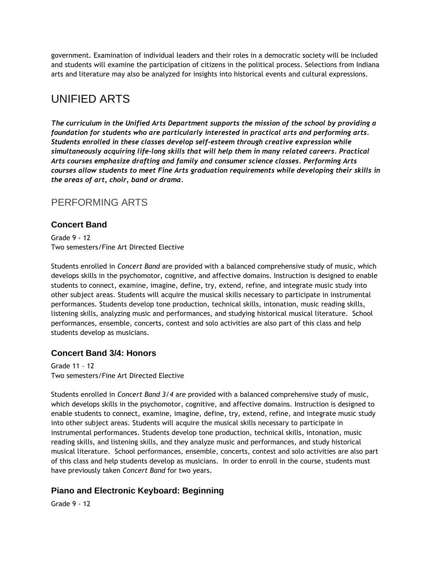government. Examination of individual leaders and their roles in a democratic society will be included and students will examine the participation of citizens in the political process. Selections from Indiana arts and literature may also be analyzed for insights into historical events and cultural expressions.

# UNIFIED ARTS

*The curriculum in the Unified Arts Department supports the mission of the school by providing a foundation for students who are particularly interested in practical arts and performing arts. Students enrolled in these classes develop self-esteem through creative expression while simultaneously acquiring life-long skills that will help them in many related careers. Practical Arts courses emphasize drafting and family and consumer science classes. Performing Arts courses allow students to meet Fine Arts graduation requirements while developing their skills in the areas of art, choir, band or drama.*

# PERFORMING ARTS

### **Concert Band**

Grade 9 - 12 Two semesters/Fine Art Directed Elective

Students enrolled in *Concert Band* are provided with a balanced comprehensive study of music, which develops skills in the psychomotor, cognitive, and affective domains. Instruction is designed to enable students to connect, examine, imagine, define, try, extend, refine, and integrate music study into other subject areas. Students will acquire the musical skills necessary to participate in instrumental performances. Students develop tone production, technical skills, intonation, music reading skills, listening skills, analyzing music and performances, and studying historical musical literature. School performances, ensemble, concerts, contest and solo activities are also part of this class and help students develop as musicians.

### **Concert Band 3/4: Honors**

Grade 11 - 12 Two semesters/Fine Art Directed Elective

Students enrolled in *Concert Band 3/4* are provided with a balanced comprehensive study of music, which develops skills in the psychomotor, cognitive, and affective domains. Instruction is designed to enable students to connect, examine, imagine, define, try, extend, refine, and integrate music study into other subject areas. Students will acquire the musical skills necessary to participate in instrumental performances. Students develop tone production, technical skills, intonation, music reading skills, and listening skills, and they analyze music and performances, and study historical musical literature. School performances, ensemble, concerts, contest and solo activities are also part of this class and help students develop as musicians. In order to enroll in the course, students must have previously taken *Concert Band* for two years.

### **Piano and Electronic Keyboard: Beginning**

Grade 9 - 12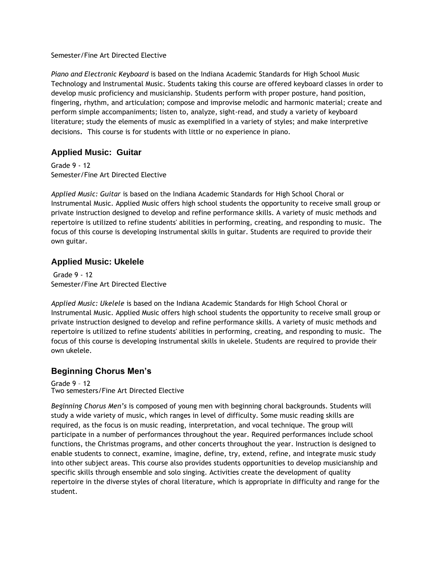#### Semester/Fine Art Directed Elective

*Piano and Electronic Keyboard* is based on the Indiana Academic Standards for High School Music Technology and Instrumental Music. Students taking this course are offered keyboard classes in order to develop music proficiency and musicianship. Students perform with proper posture, hand position, fingering, rhythm, and articulation; compose and improvise melodic and harmonic material; create and perform simple accompaniments; listen to, analyze, sight-read, and study a variety of keyboard literature; study the elements of music as exemplified in a variety of styles; and make interpretive decisions. This course is for students with little or no experience in piano.

### **Applied Music: Guitar**

Grade 9 - 12 Semester/Fine Art Directed Elective

*Applied Music: Guitar* is based on the Indiana Academic Standards for High School Choral or Instrumental Music. Applied Music offers high school students the opportunity to receive small group or private instruction designed to develop and refine performance skills. A variety of music methods and repertoire is utilized to refine students' abilities in performing, creating, and responding to music. The focus of this course is developing instrumental skills in guitar. Students are required to provide their own guitar.

### **Applied Music: Ukelele**

Grade 9 - 12 Semester/Fine Art Directed Elective

*Applied Music: Ukelele* is based on the Indiana Academic Standards for High School Choral or Instrumental Music. Applied Music offers high school students the opportunity to receive small group or private instruction designed to develop and refine performance skills. A variety of music methods and repertoire is utilized to refine students' abilities in performing, creating, and responding to music. The focus of this course is developing instrumental skills in ukelele. Students are required to provide their own ukelele.

### **Beginning Chorus Men's**

Grade 9 – 12 Two semesters/Fine Art Directed Elective

*Beginning Chorus Men's* is composed of young men with beginning choral backgrounds. Students will study a wide variety of music, which ranges in level of difficulty. Some music reading skills are required, as the focus is on music reading, interpretation, and vocal technique. The group will participate in a number of performances throughout the year. Required performances include school functions, the Christmas programs, and other concerts throughout the year. Instruction is designed to enable students to connect, examine, imagine, define, try, extend, refine, and integrate music study into other subject areas. This course also provides students opportunities to develop musicianship and specific skills through ensemble and solo singing. Activities create the development of quality repertoire in the diverse styles of choral literature, which is appropriate in difficulty and range for the student.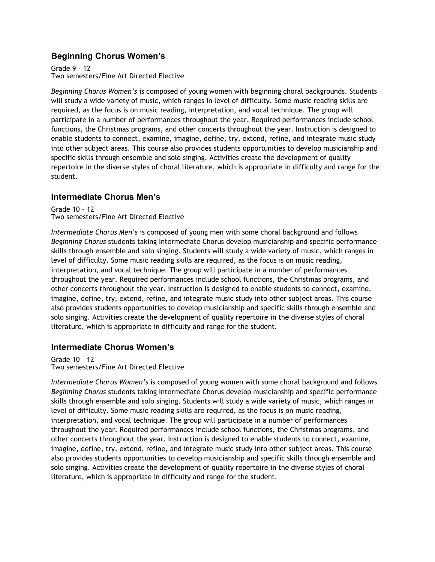### **Beginning Chorus Women's**

Grade 9 – 12 Two semesters/Fine Art Directed Elective

*Beginning Chorus Women's* is composed of young women with beginning choral backgrounds. Students will study a wide variety of music, which ranges in level of difficulty. Some music reading skills are required, as the focus is on music reading, interpretation, and vocal technique. The group will participate in a number of performances throughout the year. Required performances include school functions, the Christmas programs, and other concerts throughout the year. Instruction is designed to enable students to connect, examine, imagine, define, try, extend, refine, and integrate music study into other subject areas. This course also provides students opportunities to develop musicianship and specific skills through ensemble and solo singing. Activities create the development of quality repertoire in the diverse styles of choral literature, which is appropriate in difficulty and range for the student.

### **Intermediate Chorus Men's**

Grade 10 – 12 Two semesters/Fine Art Directed Elective

*Intermediate Chorus Men's* is composed of young men with some choral background and follows *Beginning Chorus* students taking Intermediate Chorus develop musicianship and specific performance skills through ensemble and solo singing. Students will study a wide variety of music, which ranges in level of difficulty. Some music reading skills are required, as the focus is on music reading, interpretation, and vocal technique. The group will participate in a number of performances throughout the year. Required performances include school functions, the Christmas programs, and other concerts throughout the year. Instruction is designed to enable students to connect, examine, imagine, define, try, extend, refine, and integrate music study into other subject areas. This course also provides students opportunities to develop musicianship and specific skills through ensemble and solo singing. Activities create the development of quality repertoire in the diverse styles of choral literature, which is appropriate in difficulty and range for the student.

### **Intermediate Chorus Women's**

Grade 10 – 12 Two semesters/Fine Art Directed Elective

*Intermediate Chorus Women's* is composed of young women with some choral background and follows *Beginning Chorus* students taking Intermediate Chorus develop musicianship and specific performance skills through ensemble and solo singing. Students will study a wide variety of music, which ranges in level of difficulty. Some music reading skills are required, as the focus is on music reading, interpretation, and vocal technique. The group will participate in a number of performances throughout the year. Required performances include school functions, the Christmas programs, and other concerts throughout the year. Instruction is designed to enable students to connect, examine, imagine, define, try, extend, refine, and integrate music study into other subject areas. This course also provides students opportunities to develop musicianship and specific skills through ensemble and solo singing. Activities create the development of quality repertoire in the diverse styles of choral literature, which is appropriate in difficulty and range for the student.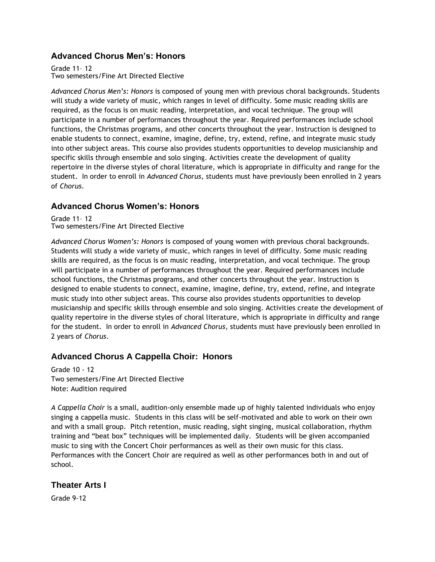### **Advanced Chorus Men's: Honors**

Grade 11– 12 Two semesters/Fine Art Directed Elective

*Advanced Chorus Men's: Honors* is composed of young men with previous choral backgrounds. Students will study a wide variety of music, which ranges in level of difficulty. Some music reading skills are required, as the focus is on music reading, interpretation, and vocal technique. The group will participate in a number of performances throughout the year. Required performances include school functions, the Christmas programs, and other concerts throughout the year. Instruction is designed to enable students to connect, examine, imagine, define, try, extend, refine, and integrate music study into other subject areas. This course also provides students opportunities to develop musicianship and specific skills through ensemble and solo singing. Activities create the development of quality repertoire in the diverse styles of choral literature, which is appropriate in difficulty and range for the student. In order to enroll in *Advanced Chorus*, students must have previously been enrolled in 2 years of *Chorus*.

### **Advanced Chorus Women's: Honors**

Grade 11– 12 Two semesters/Fine Art Directed Elective

*Advanced Chorus Women's: Honors* is composed of young women with previous choral backgrounds. Students will study a wide variety of music, which ranges in level of difficulty. Some music reading skills are required, as the focus is on music reading, interpretation, and vocal technique. The group will participate in a number of performances throughout the year. Required performances include school functions, the Christmas programs, and other concerts throughout the year. Instruction is designed to enable students to connect, examine, imagine, define, try, extend, refine, and integrate music study into other subject areas. This course also provides students opportunities to develop musicianship and specific skills through ensemble and solo singing. Activities create the development of quality repertoire in the diverse styles of choral literature, which is appropriate in difficulty and range for the student. In order to enroll in *Advanced Chorus*, students must have previously been enrolled in 2 years of *Chorus*.

### **Advanced Chorus A Cappella Choir: Honors**

Grade 10 - 12 Two semesters/Fine Art Directed Elective Note: Audition required

*A Cappella Choir* is a small, audition-only ensemble made up of highly talented individuals who enjoy singing a cappella music. Students in this class will be self-motivated and able to work on their own and with a small group. Pitch retention, music reading, sight singing, musical collaboration, rhythm training and "beat box" techniques will be implemented daily. Students will be given accompanied music to sing with the Concert Choir performances as well as their own music for this class. Performances with the Concert Choir are required as well as other performances both in and out of school.

### **Theater Arts I**

Grade 9-12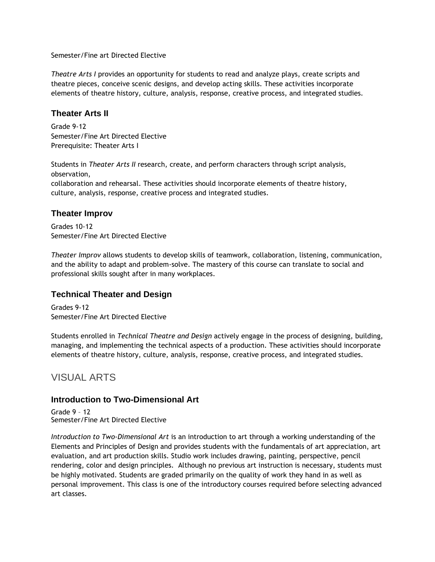Semester/Fine art Directed Elective

*Theatre Arts I* provides an opportunity for students to read and analyze plays, create scripts and theatre pieces, conceive scenic designs, and develop acting skills. These activities incorporate elements of theatre history, culture, analysis, response, creative process, and integrated studies.

### **Theater Arts II**

Grade 9-12 Semester/Fine Art Directed Elective Prerequisite: Theater Arts I

Students in *Theater Arts II* research, create, and perform characters through script analysis, observation, collaboration and rehearsal. These activities should incorporate elements of theatre history, culture, analysis, response, creative process and integrated studies.

### **Theater Improv**

Grades 10-12 Semester/Fine Art Directed Elective

*Theater Improv* allows students to develop skills of teamwork, collaboration, listening, communication, and the ability to adapt and problem-solve. The mastery of this course can translate to social and professional skills sought after in many workplaces.

### **Technical Theater and Design**

Grades 9-12 Semester/Fine Art Directed Elective

Students enrolled in *Technical Theatre and Design* actively engage in the process of designing, building, managing, and implementing the technical aspects of a production. These activities should incorporate elements of theatre history, culture, analysis, response, creative process, and integrated studies.

# VISUAL ARTS

### **Introduction to Two-Dimensional Art**

Grade 9 – 12 Semester/Fine Art Directed Elective

*Introduction to Two-Dimensional Art* is an introduction to art through a working understanding of the Elements and Principles of Design and provides students with the fundamentals of art appreciation, art evaluation, and art production skills. Studio work includes drawing, painting, perspective, pencil rendering, color and design principles. Although no previous art instruction is necessary, students must be highly motivated. Students are graded primarily on the quality of work they hand in as well as personal improvement. This class is one of the introductory courses required before selecting advanced art classes.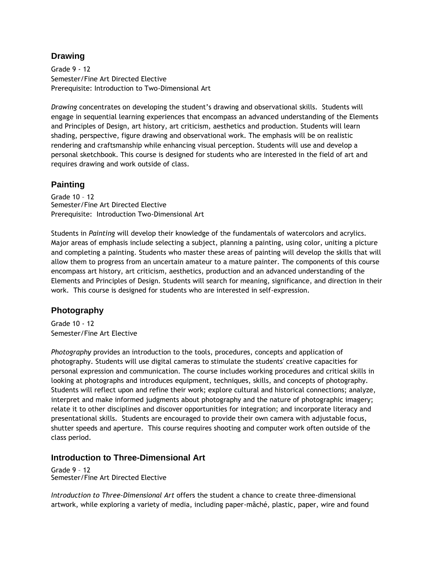### **Drawing**

Grade 9 - 12 Semester/Fine Art Directed Elective Prerequisite: Introduction to Two-Dimensional Art

*Drawing* concentrates on developing the student's drawing and observational skills. Students will engage in sequential learning experiences that encompass an advanced understanding of the Elements and Principles of Design, art history, art criticism, aesthetics and production. Students will learn shading, perspective, figure drawing and observational work. The emphasis will be on realistic rendering and craftsmanship while enhancing visual perception. Students will use and develop a personal sketchbook. This course is designed for students who are interested in the field of art and requires drawing and work outside of class.

### **Painting**

Grade 10 – 12 Semester/Fine Art Directed Elective Prerequisite: Introduction Two-Dimensional Art

Students in *Painting* will develop their knowledge of the fundamentals of watercolors and acrylics. Major areas of emphasis include selecting a subject, planning a painting, using color, uniting a picture and completing a painting. Students who master these areas of painting will develop the skills that will allow them to progress from an uncertain amateur to a mature painter. The components of this course encompass art history, art criticism, aesthetics, production and an advanced understanding of the Elements and Principles of Design. Students will search for meaning, significance, and direction in their work. This course is designed for students who are interested in self-expression.

### **Photography**

Grade 10 - 12 Semester/Fine Art Elective

*Photography* provides an introduction to the tools, procedures, concepts and application of photography. Students will use digital cameras to stimulate the students' creative capacities for personal expression and communication. The course includes working procedures and critical skills in looking at photographs and introduces equipment, techniques, skills, and concepts of photography. Students will reflect upon and refine their work; explore cultural and historical connections; analyze, interpret and make informed judgments about photography and the nature of photographic imagery; relate it to other disciplines and discover opportunities for integration; and incorporate literacy and presentational skills. Students are encouraged to provide their own camera with adjustable focus, shutter speeds and aperture. This course requires shooting and computer work often outside of the class period.

### **Introduction to Three-Dimensional Art**

Grade 9 – 12 Semester/Fine Art Directed Elective

*Introduction to Three-Dimensional Art* offers the student a chance to create three-dimensional artwork, while exploring a variety of media, including paper-mâché, plastic, paper, wire and found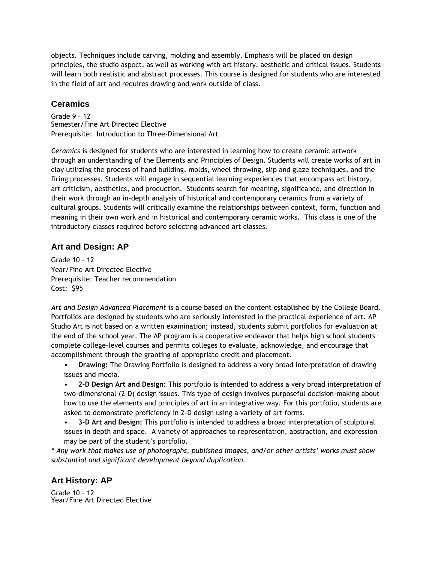objects. Techniques include carving, molding and assembly. Emphasis will be placed on design principles, the studio aspect, as well as working with art history, aesthetic and critical issues. Students will learn both realistic and abstract processes. This course is designed for students who are interested in the field of art and requires drawing and work outside of class.

### **Ceramics**

Grade 9 – 12 Semester/Fine Art Directed Elective Prerequisite: Introduction to Three-Dimensional Art

*Ceramics* is designed for students who are interested in learning how to create ceramic artwork through an understanding of the Elements and Principles of Design. Students will create works of art in clay utilizing the process of hand building, molds, wheel throwing, slip and glaze techniques, and the firing processes. Students will engage in sequential learning experiences that encompass art history, art criticism, aesthetics, and production. Students search for meaning, significance, and direction in their work through an in-depth analysis of historical and contemporary ceramics from a variety of cultural groups. Students will critically examine the relationships between context, form, function and meaning in their own work and in historical and contemporary ceramic works. This class is one of the introductory classes required before selecting advanced art classes.

### **Art and Design: AP**

Grade 10 - 12 Year/Fine Art Directed Elective Prerequisite: Teacher recommendation Cost: \$95

*Art and Design Advanced Placement* is a course based on the content established by the College Board. Portfolios are designed by students who are seriously interested in the practical experience of art. AP Studio Art is not based on a written examination; instead, students submit portfolios for evaluation at the end of the school year. The AP program is a cooperative endeavor that helps high school students complete college-level courses and permits colleges to evaluate, acknowledge, and encourage that accomplishment through the granting of appropriate credit and placement.

- **Drawing:** The Drawing Portfolio is designed to address a very broad interpretation of drawing issues and media.
- **2-D Design Art and Design:** This portfolio is intended to address a very broad interpretation of two-dimensional (2-D) design issues. This type of design involves purposeful decision-making about how to use the elements and principles of art in an integrative way. For this portfolio, students are asked to demonstrate proficiency in 2-D design using a variety of art forms.
- **3-D Art and Design:** This portfolio is intended to address a broad interpretation of sculptural issues in depth and space. A variety of approaches to representation, abstraction, and expression may be part of the student's portfolio.

*\* Any work that makes use of photographs, published images, and/or other artists' works must show substantial and significant development beyond duplication.*

### **Art History: AP**

Grade 10 – 12 Year/Fine Art Directed Elective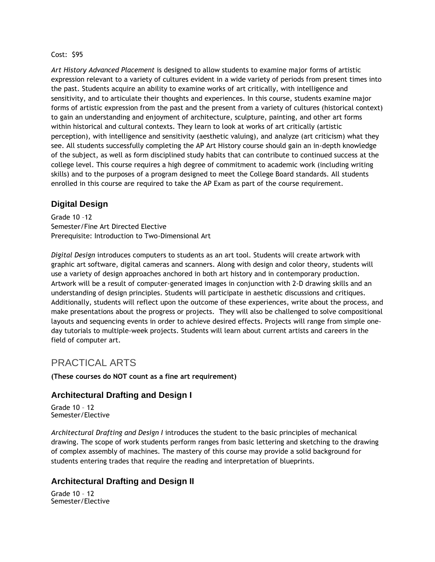#### Cost: \$95

*Art History Advanced Placement* is designed to allow students to examine major forms of artistic expression relevant to a variety of cultures evident in a wide variety of periods from present times into the past. Students acquire an ability to examine works of art critically, with intelligence and sensitivity, and to articulate their thoughts and experiences. In this course, students examine major forms of artistic expression from the past and the present from a variety of cultures (historical context) to gain an understanding and enjoyment of architecture, sculpture, painting, and other art forms within historical and cultural contexts. They learn to look at works of art critically (artistic perception), with intelligence and sensitivity (aesthetic valuing), and analyze (art criticism) what they see. All students successfully completing the AP Art History course should gain an in-depth knowledge of the subject, as well as form disciplined study habits that can contribute to continued success at the college level. This course requires a high degree of commitment to academic work (including writing skills) and to the purposes of a program designed to meet the College Board standards. All students enrolled in this course are required to take the AP Exam as part of the course requirement.

### **Digital Design**

Grade 10 –12 Semester/Fine Art Directed Elective Prerequisite: Introduction to Two-Dimensional Art

*Digital Design* introduces computers to students as an art tool. Students will create artwork with graphic art software, digital cameras and scanners. Along with design and color theory, students will use a variety of design approaches anchored in both art history and in contemporary production. Artwork will be a result of computer-generated images in conjunction with 2-D drawing skills and an understanding of design principles. Students will participate in aesthetic discussions and critiques. Additionally, students will reflect upon the outcome of these experiences, write about the process, and make presentations about the progress or projects. They will also be challenged to solve compositional layouts and sequencing events in order to achieve desired effects. Projects will range from simple oneday tutorials to multiple-week projects. Students will learn about current artists and careers in the field of computer art.

# PRACTICAL ARTS

**(These courses do NOT count as a fine art requirement)**

### **Architectural Drafting and Design I**

Grade 10 – 12 Semester/Elective

*Architectural Drafting and Design I* introduces the student to the basic principles of mechanical drawing. The scope of work students perform ranges from basic lettering and sketching to the drawing of complex assembly of machines. The mastery of this course may provide a solid background for students entering trades that require the reading and interpretation of blueprints.

#### **Architectural Drafting and Design II**

Grade 10 – 12 Semester/Elective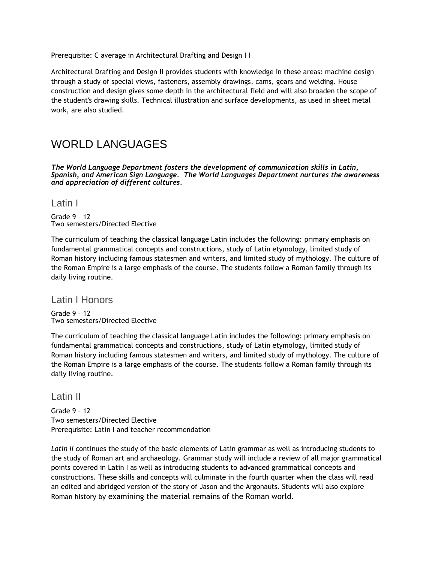Prerequisite: C average in Architectural Drafting and Design I I

Architectural Drafting and Design II provides students with knowledge in these areas: machine design through a study of special views, fasteners, assembly drawings, cams, gears and welding. House construction and design gives some depth in the architectural field and will also broaden the scope of the student's drawing skills. Technical illustration and surface developments, as used in sheet metal work, are also studied.

# WORLD LANGUAGES

*The World Language Department fosters the development of communication skills in Latin, Spanish, and American Sign Language. The World Languages Department nurtures the awareness and appreciation of different cultures.*

Latin I

Grade 9 – 12 Two semesters/Directed Elective

The curriculum of teaching the classical language Latin includes the following: primary emphasis on fundamental grammatical concepts and constructions, study of Latin etymology, limited study of Roman history including famous statesmen and writers, and limited study of mythology. The culture of the Roman Empire is a large emphasis of the course. The students follow a Roman family through its daily living routine.

Latin I Honors

Grade 9 – 12 Two semesters/Directed Elective

The curriculum of teaching the classical language Latin includes the following: primary emphasis on fundamental grammatical concepts and constructions, study of Latin etymology, limited study of Roman history including famous statesmen and writers, and limited study of mythology. The culture of the Roman Empire is a large emphasis of the course. The students follow a Roman family through its daily living routine.

Latin II

Grade 9 – 12 Two semesters/Directed Elective Prerequisite: Latin I and teacher recommendation

*Latin II* continues the study of the basic elements of Latin grammar as well as introducing students to the study of Roman art and archaeology. Grammar study will include a review of all major grammatical points covered in Latin I as well as introducing students to advanced grammatical concepts and constructions. These skills and concepts will culminate in the fourth quarter when the class will read an edited and abridged version of the story of Jason and the Argonauts. Students will also explore Roman history by examining the material remains of the Roman world.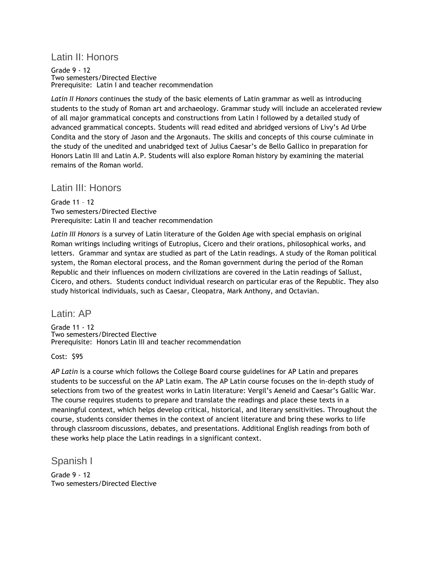### Latin II: Honors

Grade 9 - 12 Two semesters/Directed Elective Prerequisite: Latin I and teacher recommendation

*Latin II Honors* continues the study of the basic elements of Latin grammar as well as introducing students to the study of Roman art and archaeology. Grammar study will include an accelerated review of all major grammatical concepts and constructions from Latin I followed by a detailed study of advanced grammatical concepts. Students will read edited and abridged versions of Livy's Ad Urbe Condita and the story of Jason and the Argonauts. The skills and concepts of this course culminate in the study of the unedited and unabridged text of Julius Caesar's de Bello Gallico in preparation for Honors Latin III and Latin A.P. Students will also explore Roman history by examining the material remains of the Roman world.

### Latin III: Honors

Grade 11 – 12 Two semesters/Directed Elective Prerequisite: Latin II and teacher recommendation

*Latin III Honors* is a survey of Latin literature of the Golden Age with special emphasis on original Roman writings including writings of Eutropius, Cicero and their orations, philosophical works, and letters. Grammar and syntax are studied as part of the Latin readings. A study of the Roman political system, the Roman electoral process, and the Roman government during the period of the Roman Republic and their influences on modern civilizations are covered in the Latin readings of Sallust, Cicero, and others. Students conduct individual research on particular eras of the Republic. They also study historical individuals, such as Caesar, Cleopatra, Mark Anthony, and Octavian.

Latin: AP

Grade 11 - 12 Two semesters/Directed Elective Prerequisite: Honors Latin III and teacher recommendation

Cost: \$95

*AP Latin* is a course which follows the College Board course guidelines for AP Latin and prepares students to be successful on the AP Latin exam. The AP Latin course focuses on the in-depth study of selections from two of the greatest works in Latin literature: Vergil's Aeneid and Caesar's Gallic War. The course requires students to prepare and translate the readings and place these texts in a meaningful context, which helps develop critical, historical, and literary sensitivities. Throughout the course, students consider themes in the context of ancient literature and bring these works to life through classroom discussions, debates, and presentations. Additional English readings from both of these works help place the Latin readings in a significant context.

Spanish I

Grade 9 - 12 Two semesters/Directed Elective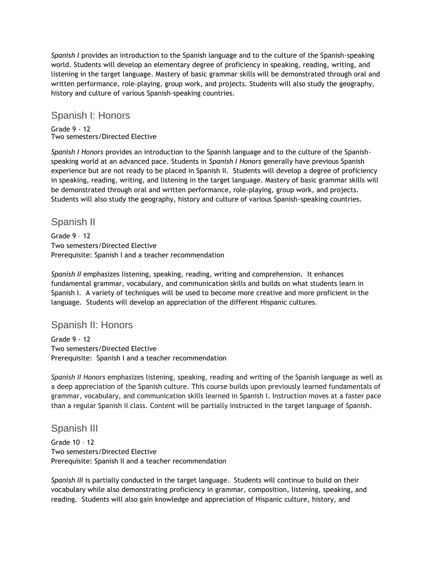*Spanish I* provides an introduction to the Spanish language and to the culture of the Spanish-speaking world. Students will develop an elementary degree of proficiency in speaking, reading, writing, and listening in the target language. Mastery of basic grammar skills will be demonstrated through oral and written performance, role-playing, group work, and projects. Students will also study the geography, history and culture of various Spanish-speaking countries.

### Spanish I: Honors

Grade 9 - 12 Two semesters/Directed Elective

*Spanish I Honors* provides an introduction to the Spanish language and to the culture of the Spanishspeaking world at an advanced pace. Students in *Spanish I Honors* generally have previous Spanish experience but are not ready to be placed in Spanish II. Students will develop a degree of proficiency in speaking, reading, writing, and listening in the target language. Mastery of basic grammar skills will be demonstrated through oral and written performance, role-playing, group work, and projects. Students will also study the geography, history and culture of various Spanish-speaking countries.

# Spanish II

Grade 9 – 12 Two semesters/Directed Elective Prerequisite: Spanish I and a teacher recommendation

*Spanish II* emphasizes listening, speaking, reading, writing and comprehension. It enhances fundamental grammar, vocabulary, and communication skills and builds on what students learn in Spanish I. A variety of techniques will be used to become more creative and more proficient in the language. Students will develop an appreciation of the different Hispanic cultures.

# Spanish II: Honors

Grade 9 - 12 Two semesters/Directed Elective Prerequisite: Spanish I and a teacher recommendation

*Spanish II Honors* emphasizes listening, speaking, reading and writing of the Spanish language as well as a deep appreciation of the Spanish culture. This course builds upon previously learned fundamentals of grammar, vocabulary, and communication skills learned in Spanish I. Instruction moves at a faster pace than a regular Spanish II class. Content will be partially instructed in the target language of Spanish.

# Spanish III

Grade 10 – 12 Two semesters/Directed Elective Prerequisite: Spanish II and a teacher recommendation

*Spanish III* is partially conducted in the target language. Students will continue to build on their vocabulary while also demonstrating proficiency in grammar, composition, listening, speaking, and reading. Students will also gain knowledge and appreciation of Hispanic culture, history, and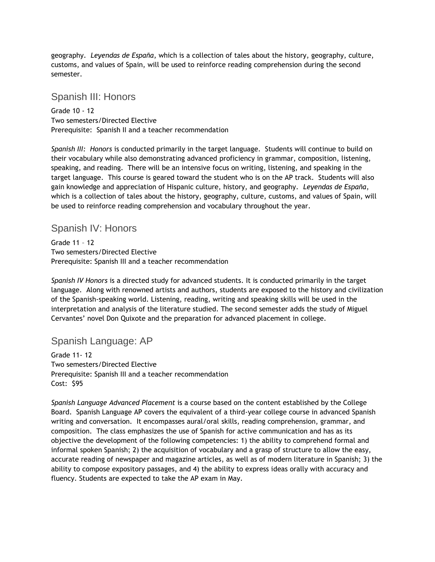geography. *Leyendas de España*, which is a collection of tales about the history, geography, culture, customs, and values of Spain, will be used to reinforce reading comprehension during the second semester.

# Spanish III: Honors

Grade 10 - 12 Two semesters/Directed Elective Prerequisite: Spanish II and a teacher recommendation

*Spanish III: Honors* is conducted primarily in the target language. Students will continue to build on their vocabulary while also demonstrating advanced proficiency in grammar, composition, listening, speaking, and reading. There will be an intensive focus on writing, listening, and speaking in the target language. This course is geared toward the student who is on the AP track. Students will also gain knowledge and appreciation of Hispanic culture, history, and geography. *Leyendas de España*, which is a collection of tales about the history, geography, culture, customs, and values of Spain, will be used to reinforce reading comprehension and vocabulary throughout the year.

### Spanish IV: Honors

Grade 11 – 12 Two semesters/Directed Elective Prerequisite: Spanish III and a teacher recommendation

*Spanish IV Honors* is a directed study for advanced students. It is conducted primarily in the target language. Along with renowned artists and authors, students are exposed to the history and civilization of the Spanish-speaking world. Listening, reading, writing and speaking skills will be used in the interpretation and analysis of the literature studied. The second semester adds the study of Miguel Cervantes' novel Don Quixote and the preparation for advanced placement in college.

# Spanish Language: AP

Grade 11- 12 Two semesters/Directed Elective Prerequisite: Spanish III and a teacher recommendation Cost: \$95

*Spanish Language Advanced Placement* is a course based on the content established by the College Board. Spanish Language AP covers the equivalent of a third-year college course in advanced Spanish writing and conversation. It encompasses aural/oral skills, reading comprehension, grammar, and composition. The class emphasizes the use of Spanish for active communication and has as its objective the development of the following competencies: 1) the ability to comprehend formal and informal spoken Spanish; 2) the acquisition of vocabulary and a grasp of structure to allow the easy, accurate reading of newspaper and magazine articles, as well as of modern literature in Spanish; 3) the ability to compose expository passages, and 4) the ability to express ideas orally with accuracy and fluency. Students are expected to take the AP exam in May.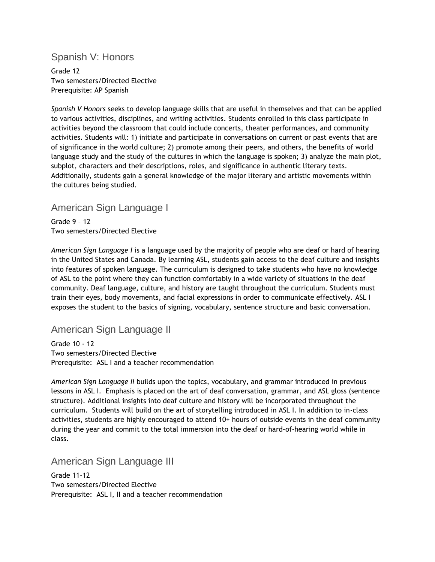# Spanish V: Honors

Grade 12 Two semesters/Directed Elective Prerequisite: AP Spanish

*Spanish V Honors* seeks to develop language skills that are useful in themselves and that can be applied to various activities, disciplines, and writing activities. Students enrolled in this class participate in activities beyond the classroom that could include concerts, theater performances, and community activities. Students will: 1) initiate and participate in conversations on current or past events that are of significance in the world culture; 2) promote among their peers, and others, the benefits of world language study and the study of the cultures in which the language is spoken; 3) analyze the main plot, subplot, characters and their descriptions, roles, and significance in authentic literary texts. Additionally, students gain a general knowledge of the major literary and artistic movements within the cultures being studied.

# American Sign Language I

Grade 9 – 12 Two semesters/Directed Elective

*American Sign Language I* is a language used by the majority of people who are deaf or hard of hearing in the United States and Canada. By learning ASL, students gain access to the deaf culture and insights into features of spoken language. The curriculum is designed to take students who have no knowledge of ASL to the point where they can function comfortably in a wide variety of situations in the deaf community. Deaf language, culture, and history are taught throughout the curriculum. Students must train their eyes, body movements, and facial expressions in order to communicate effectively. ASL I exposes the student to the basics of signing, vocabulary, sentence structure and basic conversation.

# American Sign Language II

Grade 10 - 12 Two semesters/Directed Elective Prerequisite: ASL I and a teacher recommendation

*American Sign Language II* builds upon the topics, vocabulary, and grammar introduced in previous lessons in ASL I. Emphasis is placed on the art of deaf conversation, grammar, and ASL gloss (sentence structure). Additional insights into deaf culture and history will be incorporated throughout the curriculum. Students will build on the art of storytelling introduced in ASL I. In addition to in-class activities, students are highly encouraged to attend 10+ hours of outside events in the deaf community during the year and commit to the total immersion into the deaf or hard-of-hearing world while in class.

### American Sign Language III

Grade 11-12 Two semesters/Directed Elective Prerequisite: ASL I, II and a teacher recommendation